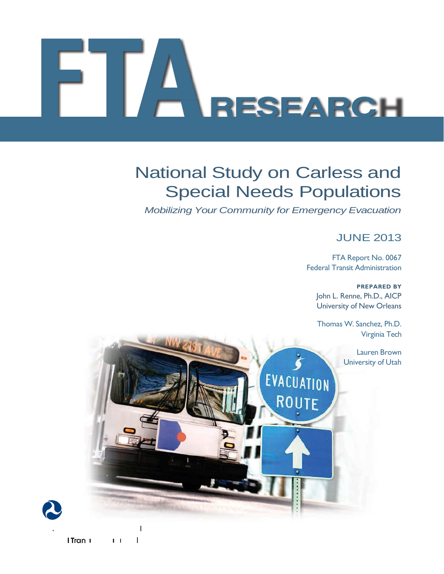# A<br>RESEARCH

# National Study on Carless and Special Needs Populations

 *Mobilizing Your Community for Emergency Evacuation* 

EVACUATION

**ROUTE** 

## JUNE 2013

 FTA Report No. 0067 Federal Transit Administration

> John L. Renne, Ph.D., AICP University of New Orleans **PREPARED BY**

> Thomas W. Sanchez, Ph.D. Virginia Tech

> > Lauren Brown University of Utah

I Tran I  $\mathbf{I}$  $1 - 1$ 

 $\overline{\phantom{a}}$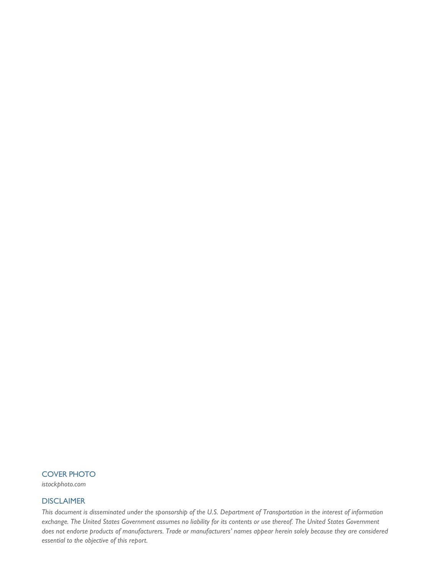## COVER PHOTO

*istockphoto.com* 

## **DISCLAIMER**

 *This document is disseminated under the sponsorship of the U.S. Department of Transportation in the interest of information*  exchange. The United States Government assumes no liability for its contents or use thereof. The United States Government  *does not endorse products of manufacturers. Trade or manufacturers' names appear herein solely because they are considered essential to the objective of this report.*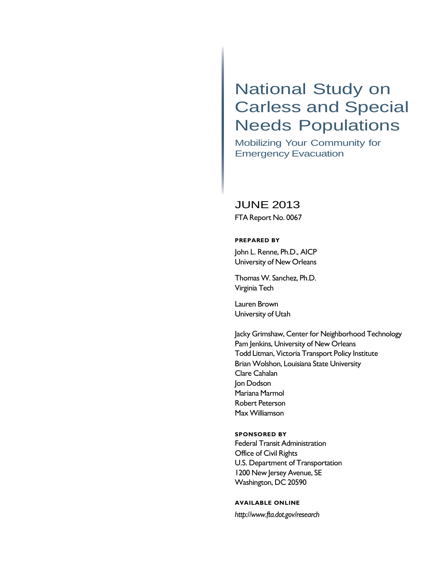## National Study on Carless and Special Needs Populations

 Mobilizing Your Community for Emergency Evacuation

## JUNE 2013

FTA Report No. 0067

### **PREPARED BY**

 John L. Renne, Ph.D., AICP University of New Orleans

 Thomas W. Sanchez, Ph.D. Virginia Tech

 Lauren Brown University of Utah

 Jacky Grimshaw, Center for Neighborhood Technology Pam Jenkins, University of New Orleans Todd Litman, Victoria Transport Policy Institute Brian Wolshon, Louisiana State University Clare Cahalan Jon Dodson Mariana Marmol Robert Peterson Max Williamson

## **SPONSORED BY**

 Federal Transit Administration Office of Civil Rights U.S. Department of Transportation 1200 New Jersey Avenue, SE Washington, DC 20590

### **AVAILABLE ONLINE**

*<http://www.fta.dot.gov/research>*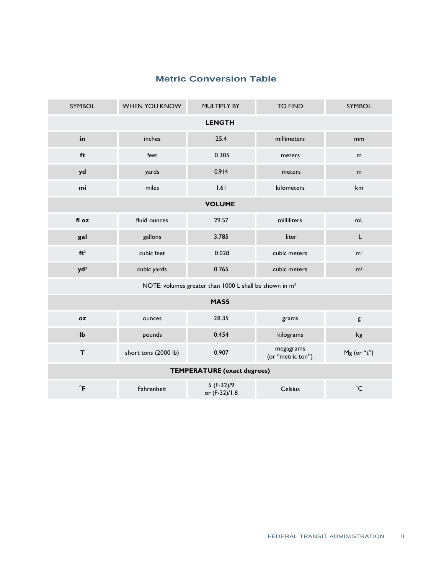| <b>SYMBOL</b>                                                      | WHEN YOU KNOW        | MULTIPLY BY                 | <b>TO FIND</b>                 | SYMBOL         |  |  |  |
|--------------------------------------------------------------------|----------------------|-----------------------------|--------------------------------|----------------|--|--|--|
| <b>LENGTH</b>                                                      |                      |                             |                                |                |  |  |  |
| in                                                                 | inches               | 25.4                        | millimeters                    | mm             |  |  |  |
| ft                                                                 | feet                 | 0.305                       | meters                         | m              |  |  |  |
| yd                                                                 | yards                | 0.914                       | meters                         | m              |  |  |  |
| mi                                                                 | miles                | 1.61                        | kilometers                     | km             |  |  |  |
| <b>VOLUME</b>                                                      |                      |                             |                                |                |  |  |  |
| fl oz                                                              | fluid ounces         | 29.57                       | milliliters                    | mL             |  |  |  |
| gal                                                                | gallons              | 3.785                       | liter                          | $\mathsf L$    |  |  |  |
| ft <sup>3</sup>                                                    | cubic feet           | 0.028                       | cubic meters                   | m <sup>3</sup> |  |  |  |
| $yd^3$                                                             | cubic yards          | 0.765                       | cubic meters                   | m <sup>3</sup> |  |  |  |
| NOTE: volumes greater than 1000 L shall be shown in m <sup>3</sup> |                      |                             |                                |                |  |  |  |
| <b>MASS</b>                                                        |                      |                             |                                |                |  |  |  |
| <b>oz</b>                                                          | ounces               | 28.35                       | grams                          | g              |  |  |  |
| $\mathbf{I} \mathbf{b}$                                            | pounds               | 0.454                       | kilograms                      | kg             |  |  |  |
| T                                                                  | short tons (2000 lb) | 0.907                       | megagrams<br>(or "metric ton") | Mg (or "t")    |  |  |  |
| <b>TEMPERATURE</b> (exact degrees)                                 |                      |                             |                                |                |  |  |  |
| $\mathsf{P}$                                                       | Fahrenheit           | 5 (F-32)/9<br>or (F-32)/1.8 | Celsius                        | $^{\circ}$ C   |  |  |  |

## **Metric Conversion Table**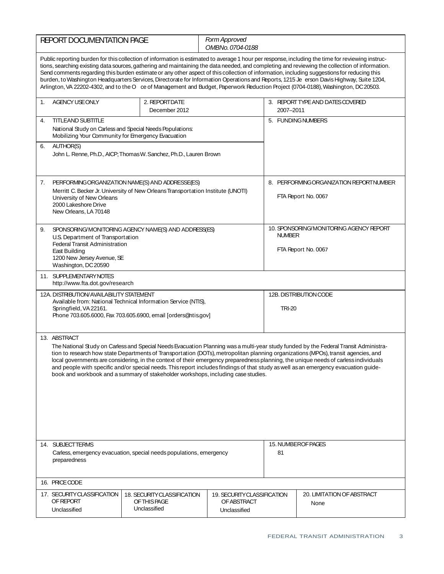| <b>REPORT DOCUMENTATION PAGE</b>                                                                                                                                                                                        |                                                                                                                                                                                                                                                                                                                                                                                                                                                                                                                                                                                                                                                                |                                                             | Form Approved<br>OMBNo. 0704-0188                                               |                    |                                                                                                                                                                                                                                                                                                                                                                                                                                                                                                                                                                                                                                                                                                                                       |  |
|-------------------------------------------------------------------------------------------------------------------------------------------------------------------------------------------------------------------------|----------------------------------------------------------------------------------------------------------------------------------------------------------------------------------------------------------------------------------------------------------------------------------------------------------------------------------------------------------------------------------------------------------------------------------------------------------------------------------------------------------------------------------------------------------------------------------------------------------------------------------------------------------------|-------------------------------------------------------------|---------------------------------------------------------------------------------|--------------------|---------------------------------------------------------------------------------------------------------------------------------------------------------------------------------------------------------------------------------------------------------------------------------------------------------------------------------------------------------------------------------------------------------------------------------------------------------------------------------------------------------------------------------------------------------------------------------------------------------------------------------------------------------------------------------------------------------------------------------------|--|
|                                                                                                                                                                                                                         |                                                                                                                                                                                                                                                                                                                                                                                                                                                                                                                                                                                                                                                                |                                                             |                                                                                 |                    | Public reporting burden for this collection of information is estimated to average 1 hour per response, including the time for reviewing instruc-<br>tions, searching existing data sources, gathering and maintaining the data needed, and completing and reviewing the collection of information.<br>Send comments regarding this burden estimate or any other aspect of this collection of information, including suggestions for reducing this<br>burden, to Washington Headquarters Services, Directorate for Information Operations and Reports, 1215 Je erson Davis Highway, Suite 1204,<br>Arlington, VA 22202-4302, and to the O ce of Management and Budget, Paperwork Reduction Project (0704-0188), Washington, DC 20503. |  |
| 1.                                                                                                                                                                                                                      | AGENCY USE ONLY                                                                                                                                                                                                                                                                                                                                                                                                                                                                                                                                                                                                                                                | 2. REPORTDATE<br>December 2012                              |                                                                                 | 2007-2011          | 3. REPORT TYPE AND DATES COVERED                                                                                                                                                                                                                                                                                                                                                                                                                                                                                                                                                                                                                                                                                                      |  |
| <b>TITLEAND SUBTITLE</b><br>4.<br>National Study on Carless and Special Needs Populations:<br>Mobilizing Your Community for Emergency Evacuation                                                                        |                                                                                                                                                                                                                                                                                                                                                                                                                                                                                                                                                                                                                                                                |                                                             |                                                                                 | 5. FUNDING NUMBERS |                                                                                                                                                                                                                                                                                                                                                                                                                                                                                                                                                                                                                                                                                                                                       |  |
| <b>AUTHOR(S)</b><br>6.<br>John L. Renne, Ph.D., AICP; Thomas W. Sanchez, Ph.D., Lauren Brown                                                                                                                            |                                                                                                                                                                                                                                                                                                                                                                                                                                                                                                                                                                                                                                                                |                                                             |                                                                                 |                    |                                                                                                                                                                                                                                                                                                                                                                                                                                                                                                                                                                                                                                                                                                                                       |  |
| PERFORMINGORGANIZATION NAME(S) AND ADDRESSE(ES)<br>7.<br>Merritt C. Becker Jr. University of New Orleans Transportation Institute (UNOTI)<br>University of New Orleans<br>2000 Lakeshore Drive<br>New Orleans, LA 70148 |                                                                                                                                                                                                                                                                                                                                                                                                                                                                                                                                                                                                                                                                |                                                             | 8. PERFORMING ORGANIZATION REPORTNUMBER<br>FTA Report No. 0067                  |                    |                                                                                                                                                                                                                                                                                                                                                                                                                                                                                                                                                                                                                                                                                                                                       |  |
| SPONSORING/MONITORING AGENCY NAME(S) AND ADDRESS(ES)<br>9.<br>U.S. Department of Transportation<br><b>Federal Transit Administration</b><br>East Building<br>1200 New Jersey Avenue, SE<br>Washington, DC 20590         |                                                                                                                                                                                                                                                                                                                                                                                                                                                                                                                                                                                                                                                                |                                                             | 10. SPONSORING/MONITORING AGENCY REPORT<br><b>NUMBER</b><br>FTA Report No. 0067 |                    |                                                                                                                                                                                                                                                                                                                                                                                                                                                                                                                                                                                                                                                                                                                                       |  |
|                                                                                                                                                                                                                         | 11. SUPPLEMENTARY NOTES<br>http://www.fta.dot.gov/research                                                                                                                                                                                                                                                                                                                                                                                                                                                                                                                                                                                                     |                                                             |                                                                                 |                    |                                                                                                                                                                                                                                                                                                                                                                                                                                                                                                                                                                                                                                                                                                                                       |  |
| 12A. DISTRIBUTION/AVAILABILITY STATEMENT<br>Available from: National Technical Information Service (NTIS),<br>Springfield, VA 22161.<br>Phone 703.605.6000, Fax 703.605.6900, email [orders@ntis.gov]                   |                                                                                                                                                                                                                                                                                                                                                                                                                                                                                                                                                                                                                                                                |                                                             | 12B. DISTRIBUTION CODE<br><b>TRI-20</b>                                         |                    |                                                                                                                                                                                                                                                                                                                                                                                                                                                                                                                                                                                                                                                                                                                                       |  |
|                                                                                                                                                                                                                         | 13. ABSTRACT<br>The National Study on Carless and Special Needs Evacuation Planning was a multi-year study funded by the Federal Transit Administra-<br>tion to research how state Departments of Transportation (DOTs), metropolitan planning organizations (MPOs), transit agencies, and<br>local governments are considering, in the context of their emergency preparedness planning, the unique needs of carless individuals<br>and people with specific and/or special needs. This report includes findings of that study as well as an emergency evacuation guide-<br>book and workbook and a summary of stakeholder workshops, including case studies. |                                                             |                                                                                 |                    |                                                                                                                                                                                                                                                                                                                                                                                                                                                                                                                                                                                                                                                                                                                                       |  |
| 14. SUBJECTTERMS<br>Carless, emergency evacuation, special needs populations, emergency<br>preparedness                                                                                                                 |                                                                                                                                                                                                                                                                                                                                                                                                                                                                                                                                                                                                                                                                |                                                             | 15. NUMBEROF PAGES<br>81                                                        |                    |                                                                                                                                                                                                                                                                                                                                                                                                                                                                                                                                                                                                                                                                                                                                       |  |
|                                                                                                                                                                                                                         | 16. PRICECODE                                                                                                                                                                                                                                                                                                                                                                                                                                                                                                                                                                                                                                                  |                                                             |                                                                                 |                    |                                                                                                                                                                                                                                                                                                                                                                                                                                                                                                                                                                                                                                                                                                                                       |  |
|                                                                                                                                                                                                                         | 17. SECURITY CLASSIFICATION<br><b>OF REPORT</b><br>Unclassified                                                                                                                                                                                                                                                                                                                                                                                                                                                                                                                                                                                                | 18. SECURITY CLASSIFICATION<br>OF THIS PAGE<br>Unclassified | 19. SECURITY CLASSIFICATION<br>OF ABSTRACT<br>Unclassified                      |                    | 20. LIMITATION OF ABSTRACT<br>None                                                                                                                                                                                                                                                                                                                                                                                                                                                                                                                                                                                                                                                                                                    |  |
|                                                                                                                                                                                                                         |                                                                                                                                                                                                                                                                                                                                                                                                                                                                                                                                                                                                                                                                |                                                             |                                                                                 |                    |                                                                                                                                                                                                                                                                                                                                                                                                                                                                                                                                                                                                                                                                                                                                       |  |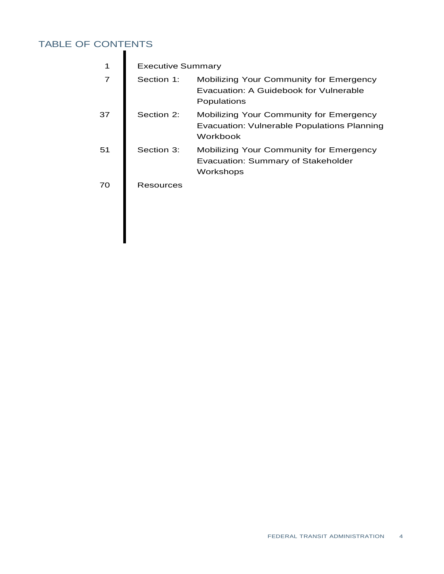## TABLE OF CONTENTS

|    | <b>Executive Summary</b> |                                                                                                           |  |  |
|----|--------------------------|-----------------------------------------------------------------------------------------------------------|--|--|
| 7  | Section 1:               | <b>Mobilizing Your Community for Emergency</b><br>Evacuation: A Guidebook for Vulnerable<br>Populations   |  |  |
| 37 | Section 2:               | <b>Mobilizing Your Community for Emergency</b><br>Evacuation: Vulnerable Populations Planning<br>Workbook |  |  |
| 51 | Section 3:               | <b>Mobilizing Your Community for Emergency</b><br><b>Evacuation: Summary of Stakeholder</b><br>Workshops  |  |  |
| 70 | <b>Resources</b>         |                                                                                                           |  |  |
|    |                          |                                                                                                           |  |  |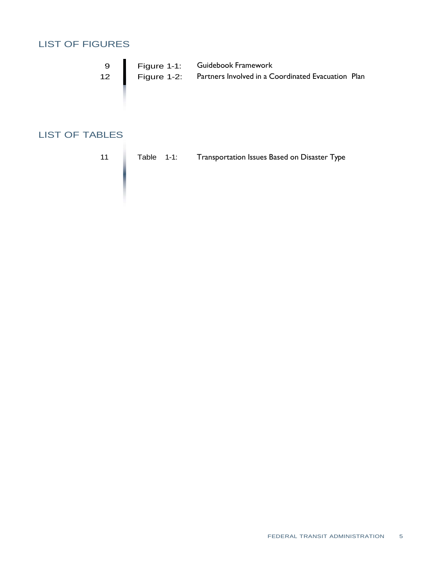## LIST OF FIGURES

| 9                       | Figure 1-1: | Guidebook Framework                                |  |
|-------------------------|-------------|----------------------------------------------------|--|
| $12 \quad \blacksquare$ | Figure 1-2: | Partners Involved in a Coordinated Evacuation Plan |  |

## LIST OF TABLES

11 Table 1-1: Transportation Issues Based on Disaster Type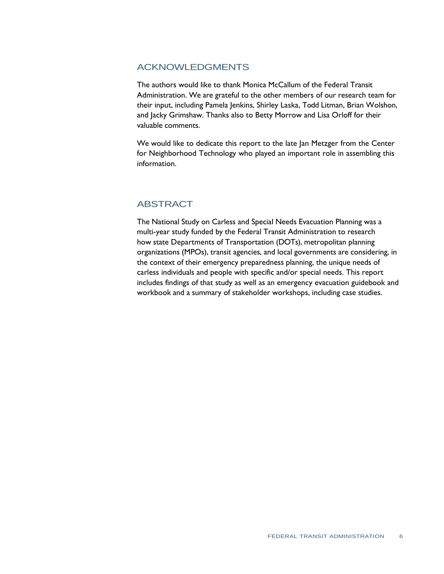## ACKNOWLEDGMENTS

 The authors would like to thank Monica McCallum of the Federal Transit Administration. We are grateful to the other members of our research team for their input, including Pamela Jenkins, Shirley Laska, Todd Litman, Brian Wolshon, and Jacky Grimshaw. Thanks also to Betty Morrow and Lisa Orloff for their valuable comments.

 We would like to dedicate this report to the late Jan Metzger from the Center for Neighborhood Technology who played an important role in assembling this information.

## **ABSTRACT**

 The National Study on Carless and Special Needs Evacuation Planning was a multi-year study funded by the Federal Transit Administration to research how state Departments of Transportation (DOTs), metropolitan planning organizations (MPOs), transit agencies, and local governments are considering, in the context of their emergency preparedness planning, the unique needs of carless individuals and people with specific and/or special needs. This report includes findings of that study as well as an emergency evacuation guidebook and workbook and a summary of stakeholder workshops, including case studies.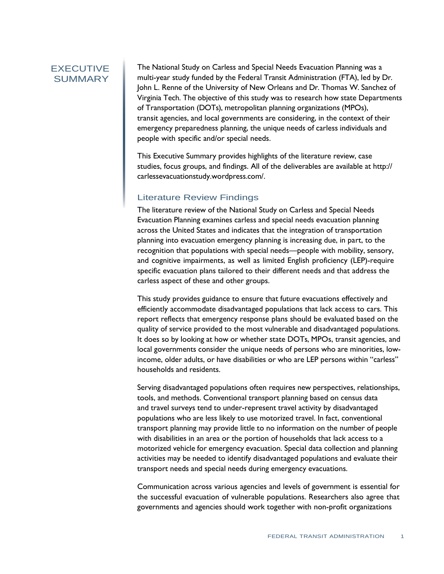## EXECUTIVE **SUMMARY**

 The National Study on Carless and Special Needs Evacuation Planning was a multi-year study funded by the Federal Transit Administration (FTA), led by Dr. John L. Renne of the University of New Orleans and Dr. Thomas W. Sanchez of Virginia Tech. The objective of this study was to research how state Departments of Transportation (DOTs), metropolitan planning organizations (MPOs), transit agencies, and local governments are considering, in the context of their emergency preparedness planning, the unique needs of carless individuals and people with specific and/or special needs.

 This Executive Summary provides highlights of the literature review, case studies, focus groups, and findings. All of the deliverables are available at http:// carlessevacuationstudy.wordpress.com/.

## Literature Review Findings

 The literature review of the National Study on Carless and Special Needs Evacuation Planning examines carless and special needs evacuation planning across the United States and indicates that the integration of transportation planning into evacuation emergency planning is increasing due, in part, to the recognition that populations with special needs—people with mobility, sensory, and cognitive impairments, as well as limited English proficiency (LEP)-require specific evacuation plans tailored to their different needs and that address the carless aspect of these and other groups.

 This study provides guidance to ensure that future evacuations effectively and efficiently accommodate disadvantaged populations that lack access to cars. This report reflects that emergency response plans should be evaluated based on the quality of service provided to the most vulnerable and disadvantaged populations. It does so by looking at how or whether state DOTs, MPOs, transit agencies, and local governments consider the unique needs of persons who are minorities, low- income, older adults, or have disabilities or who are LEP persons within "carless" households and residents.

 Serving disadvantaged populations often requires new perspectives, relationships, tools, and methods. Conventional transport planning based on census data and travel surveys tend to under-represent travel activity by disadvantaged populations who are less likely to use motorized travel. In fact, conventional transport planning may provide little to no information on the number of people with disabilities in an area or the portion of households that lack access to a motorized vehicle for emergency evacuation. Special data collection and planning activities may be needed to identify disadvantaged populations and evaluate their transport needs and special needs during emergency evacuations.

 Communication across various agencies and levels of government is essential for the successful evacuation of vulnerable populations. Researchers also agree that governments and agencies should work together with non-profit organizations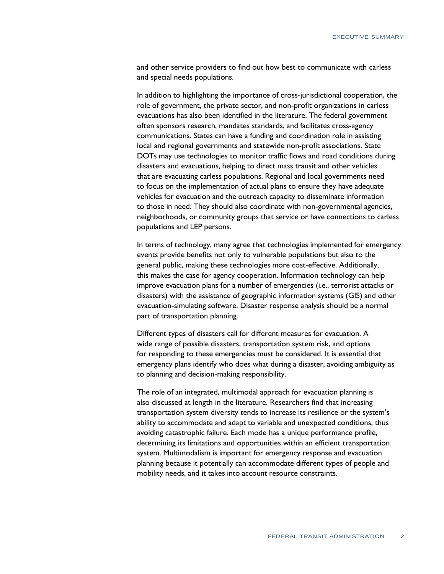and other service providers to find out how best to communicate with carless and special needs populations.

 In addition to highlighting the importance of cross-jurisdictional cooperation, the role of government, the private sector, and non-profit organizations in carless evacuations has also been identified in the literature. The federal government often sponsors research, mandates standards, and facilitates cross-agency communications. States can have a funding and coordination role in assisting local and regional governments and statewide non-profit associations. State DOTs may use technologies to monitor traffic flows and road conditions during disasters and evacuations, helping to direct mass transit and other vehicles that are evacuating carless populations. Regional and local governments need to focus on the implementation of actual plans to ensure they have adequate vehicles for evacuation and the outreach capacity to disseminate information to those in need. They should also coordinate with non-governmental agencies, neighborhoods, or community groups that service or have connections to carless populations and LEP persons.

 In terms of technology, many agree that technologies implemented for emergency events provide benefits not only to vulnerable populations but also to the general public, making these technologies more cost-effective. Additionally, this makes the case for agency cooperation. Information technology can help improve evacuation plans for a number of emergencies (i.e., terrorist attacks or disasters) with the assistance of geographic information systems (GIS) and other evacuation-simulating software. Disaster response analysis should be a normal part of transportation planning.

 Different types of disasters call for different measures for evacuation. A wide range of possible disasters, transportation system risk, and options for responding to these emergencies must be considered. It is essential that emergency plans identify who does what during a disaster, avoiding ambiguity as to planning and decision-making responsibility.

 The role of an integrated, multimodal approach for evacuation planning is also discussed at length in the literature. Researchers find that increasing transportation system diversity tends to increase its resilience or the system's ability to accommodate and adapt to variable and unexpected conditions, thus avoiding catastrophic failure. Each mode has a unique performance profile, determining its limitations and opportunities within an efficient transportation system. Multimodalism is important for emergency response and evacuation planning because it potentially can accommodate different types of people and mobility needs, and it takes into account resource constraints.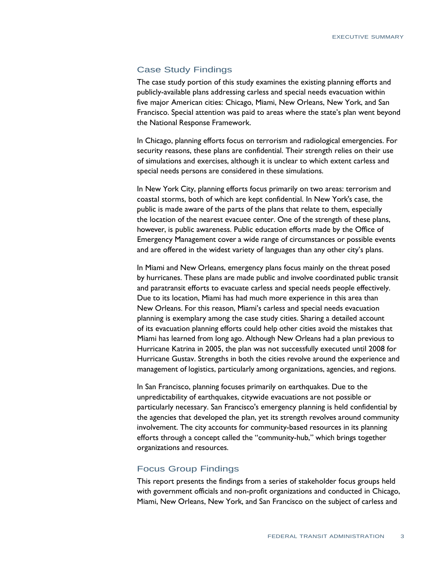## Case Study Findings

 The case study portion of this study examines the existing planning efforts and publicly-available plans addressing carless and special needs evacuation within five major American cities: Chicago, Miami, New Orleans, New York, and San Francisco. Special attention was paid to areas where the state's plan went beyond the National Response Framework.

 In Chicago, planning efforts focus on terrorism and radiological emergencies. For security reasons, these plans are confidential. Their strength relies on their use of simulations and exercises, although it is unclear to which extent carless and special needs persons are considered in these simulations.

 In New York City, planning efforts focus primarily on two areas: terrorism and coastal storms, both of which are kept confidential. In New York's case, the public is made aware of the parts of the plans that relate to them, especially the location of the nearest evacuee center. One of the strength of these plans, however, is public awareness. Public education efforts made by the Office of Emergency Management cover a wide range of circumstances or possible events and are offered in the widest variety of languages than any other city's plans.

 In Miami and New Orleans, emergency plans focus mainly on the threat posed by hurricanes. These plans are made public and involve coordinated public transit and paratransit efforts to evacuate carless and special needs people effectively. Due to its location, Miami has had much more experience in this area than New Orleans. For this reason, Miami's carless and special needs evacuation planning is exemplary among the case study cities. Sharing a detailed account of its evacuation planning efforts could help other cities avoid the mistakes that Miami has learned from long ago. Although New Orleans had a plan previous to Hurricane Katrina in 2005, the plan was not successfully executed until 2008 for Hurricane Gustav. Strengths in both the cities revolve around the experience and management of logistics, particularly among organizations, agencies, and regions.

 In San Francisco, planning focuses primarily on earthquakes. Due to the unpredictability of earthquakes, citywide evacuations are not possible or particularly necessary. San Francisco's emergency planning is held confidential by the agencies that developed the plan, yet its strength revolves around community involvement. The city accounts for community-based resources in its planning efforts through a concept called the "community-hub," which brings together organizations and resources.

## Focus Group Findings

 This report presents the findings from a series of stakeholder focus groups held with government officials and non-profit organizations and conducted in Chicago, Miami, New Orleans, New York, and San Francisco on the subject of carless and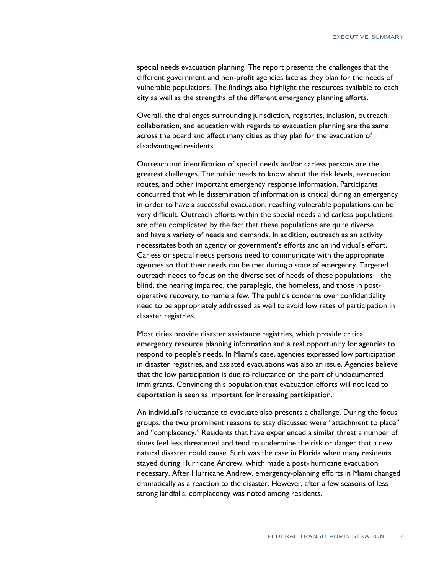special needs evacuation planning. The report presents the challenges that the different government and non-profit agencies face as they plan for the needs of vulnerable populations. The findings also highlight the resources available to each city as well as the strengths of the different emergency planning efforts.

 Overall, the challenges surrounding jurisdiction, registries, inclusion, outreach, collaboration, and education with regards to evacuation planning are the same across the board and affect many cities as they plan for the evacuation of disadvantaged residents.

 Outreach and identification of special needs and/or carless persons are the greatest challenges. The public needs to know about the risk levels, evacuation routes, and other important emergency response information. Participants concurred that while dissemination of information is critical during an emergency in order to have a successful evacuation, reaching vulnerable populations can be very difficult. Outreach efforts within the special needs and carless populations are often complicated by the fact that these populations are quite diverse and have a variety of needs and demands. In addition, outreach as an activity necessitates both an agency or government's efforts and an individual's effort. Carless or special needs persons need to communicate with the appropriate agencies so that their needs can be met during a state of emergency. Targeted outreach needs to focus on the diverse set of needs of these populations—the blind, the hearing impaired, the paraplegic, the homeless, and those in post- operative recovery, to name a few. The public's concerns over confidentiality need to be appropriately addressed as well to avoid low rates of participation in disaster registries.

 Most cities provide disaster assistance registries, which provide critical emergency resource planning information and a real opportunity for agencies to respond to people's needs. In Miami's case, agencies expressed low participation in disaster registries, and assisted evacuations was also an issue. Agencies believe that the low participation is due to reluctance on the part of undocumented immigrants. Convincing this population that evacuation efforts will not lead to deportation is seen as important for increasing participation.

 An individual's reluctance to evacuate also presents a challenge. During the focus groups, the two prominent reasons to stay discussed were "attachment to place" and "complacency." Residents that have experienced a similar threat a number of times feel less threatened and tend to undermine the risk or danger that a new natural disaster could cause. Such was the case in Florida when many residents stayed during Hurricane Andrew, which made a post- hurricane evacuation necessary. After Hurricane Andrew, emergency-planning efforts in Miami changed dramatically as a reaction to the disaster. However, after a few seasons of less strong landfalls, complacency was noted among residents.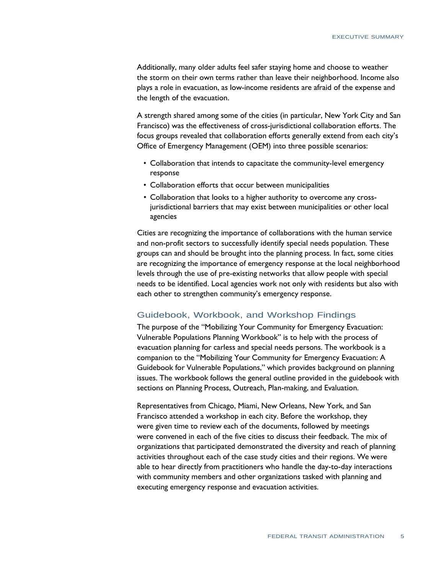Additionally, many older adults feel safer staying home and choose to weather the storm on their own terms rather than leave their neighborhood. Income also plays a role in evacuation, as low-income residents are afraid of the expense and the length of the evacuation.

 A strength shared among some of the cities (in particular, New York City and San Francisco) was the effectiveness of cross-jurisdictional collaboration efforts. The focus groups revealed that collaboration efforts generally extend from each city's Office of Emergency Management (OEM) into three possible scenarios:

- Collaboration that intends to capacitate the community-level emergency response
- Collaboration efforts that occur between municipalities
- Collaboration that looks to a higher authority to overcome any cross- jurisdictional barriers that may exist between municipalities or other local agencies

 Cities are recognizing the importance of collaborations with the human service and non-profit sectors to successfully identify special needs population. These groups can and should be brought into the planning process. In fact, some cities are recognizing the importance of emergency response at the local neighborhood levels through the use of pre-existing networks that allow people with special needs to be identified. Local agencies work not only with residents but also with each other to strengthen community's emergency response.

## Guidebook, Workbook, and Workshop Findings

 The purpose of the "Mobilizing Your Community for Emergency Evacuation: Vulnerable Populations Planning Workbook" is to help with the process of evacuation planning for carless and special needs persons. The workbook is a companion to the "Mobilizing Your Community for Emergency Evacuation: A Guidebook for Vulnerable Populations," which provides background on planning issues. The workbook follows the general outline provided in the guidebook with sections on Planning Process, Outreach, Plan-making, and Evaluation.

 Representatives from Chicago, Miami, New Orleans, New York, and San Francisco attended a workshop in each city. Before the workshop, they were given time to review each of the documents, followed by meetings were convened in each of the five cities to discuss their feedback. The mix of organizations that participated demonstrated the diversity and reach of planning activities throughout each of the case study cities and their regions. We were able to hear directly from practitioners who handle the day-to-day interactions with community members and other organizations tasked with planning and executing emergency response and evacuation activities.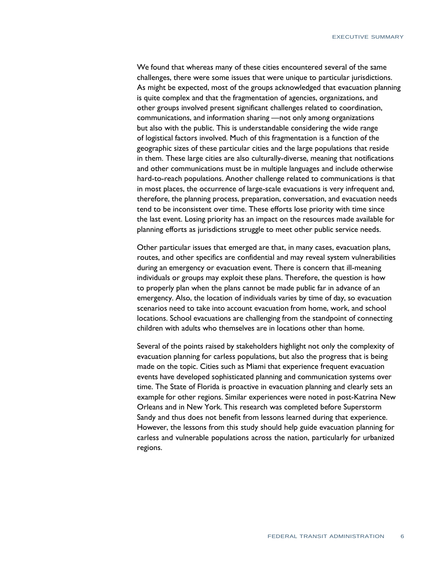We found that whereas many of these cities encountered several of the same challenges, there were some issues that were unique to particular jurisdictions. As might be expected, most of the groups acknowledged that evacuation planning is quite complex and that the fragmentation of agencies, organizations, and other groups involved present significant challenges related to coordination, communications, and information sharing —not only among organizations but also with the public. This is understandable considering the wide range of logistical factors involved. Much of this fragmentation is a function of the geographic sizes of these particular cities and the large populations that reside in them. These large cities are also culturally-diverse, meaning that notifications and other communications must be in multiple languages and include otherwise hard-to-reach populations. Another challenge related to communications is that in most places, the occurrence of large-scale evacuations is very infrequent and, therefore, the planning process, preparation, conversation, and evacuation needs tend to be inconsistent over time. These efforts lose priority with time since the last event. Losing priority has an impact on the resources made available for planning efforts as jurisdictions struggle to meet other public service needs.

 Other particular issues that emerged are that, in many cases, evacuation plans, routes, and other specifics are confidential and may reveal system vulnerabilities during an emergency or evacuation event. There is concern that ill-meaning individuals or groups may exploit these plans. Therefore, the question is how to properly plan when the plans cannot be made public far in advance of an emergency. Also, the location of individuals varies by time of day, so evacuation scenarios need to take into account evacuation from home, work, and school locations. School evacuations are challenging from the standpoint of connecting children with adults who themselves are in locations other than home.

 Several of the points raised by stakeholders highlight not only the complexity of evacuation planning for carless populations, but also the progress that is being made on the topic. Cities such as Miami that experience frequent evacuation events have developed sophisticated planning and communication systems over time. The State of Florida is proactive in evacuation planning and clearly sets an example for other regions. Similar experiences were noted in post-Katrina New Orleans and in New York. This research was completed before Superstorm Sandy and thus does not benefit from lessons learned during that experience. However, the lessons from this study should help guide evacuation planning for carless and vulnerable populations across the nation, particularly for urbanized regions.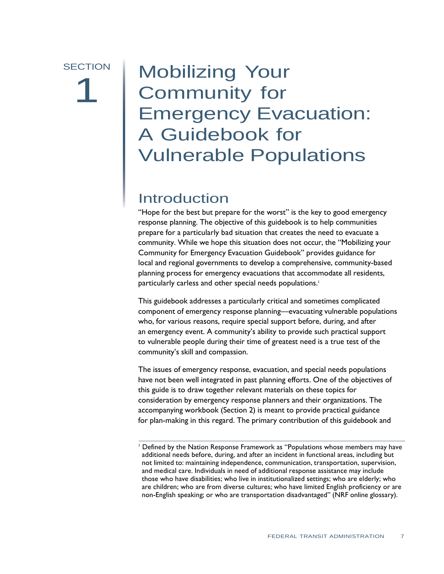# **SECTION** 1

# A Guidebook for Mobilizing Your<br>Community for Community for Emergency Evacuation: Vulnerable Populations

## Introduction

 "Hope for the best but prepare for the worst" is the key to good emergency response planning. The objective of this guidebook is to help communities prepare for a particularly bad situation that creates the need to evacuate a community. While we hope this situation does not occur, the "Mobilizing your Community for Emergency Evacuation Guidebook" provides guidance for local and regional governments to develop a comprehensive, community-based planning process for emergency evacuations that accommodate all residents, particularly carless and other special needs populations.<sup>1</sup>

 This guidebook addresses a particularly critical and sometimes complicated component of emergency response planning—evacuating vulnerable populations who, for various reasons, require special support before, during, and after an emergency event. A community's ability to provide such practical support to vulnerable people during their time of greatest need is a true test of the community's skill and compassion.

 The issues of emergency response, evacuation, and special needs populations have not been well integrated in past planning efforts. One of the objectives of this guide is to draw together relevant materials on these topics for consideration by emergency response planners and their organizations. The accompanying workbook (Section 2) is meant to provide practical guidance for plan-making in this regard. The primary contribution of this guidebook and

 1 Defined by the Nation Response Framework as "Populations whose members may have additional needs before, during, and after an incident in functional areas, including but not limited to: maintaining independence, communication, transportation, supervision, and medical care. Individuals in need of additional response assistance may include those who have disabilities; who live in institutionalized settings; who are elderly; who are children; who are from diverse cultures; who have limited English proficiency or are non-English speaking; or who are transportation disadvantaged" (NRF online glossary).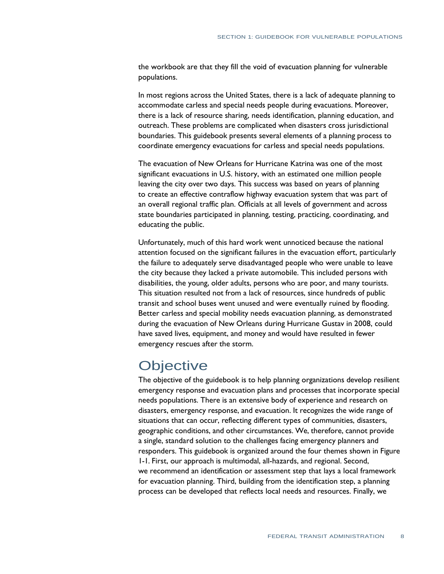the workbook are that they fill the void of evacuation planning for vulnerable populations.

 In most regions across the United States, there is a lack of adequate planning to accommodate carless and special needs people during evacuations. Moreover, there is a lack of resource sharing, needs identification, planning education, and outreach. These problems are complicated when disasters cross jurisdictional boundaries. This guidebook presents several elements of a planning process to coordinate emergency evacuations for carless and special needs populations.

 The evacuation of New Orleans for Hurricane Katrina was one of the most significant evacuations in U.S. history, with an estimated one million people leaving the city over two days. This success was based on years of planning to create an effective contraflow highway evacuation system that was part of an overall regional traffic plan. Officials at all levels of government and across state boundaries participated in planning, testing, practicing, coordinating, and educating the public.

 Unfortunately, much of this hard work went unnoticed because the national attention focused on the significant failures in the evacuation effort, particularly the failure to adequately serve disadvantaged people who were unable to leave the city because they lacked a private automobile. This included persons with disabilities, the young, older adults, persons who are poor, and many tourists. This situation resulted not from a lack of resources, since hundreds of public transit and school buses went unused and were eventually ruined by flooding. Better carless and special mobility needs evacuation planning, as demonstrated during the evacuation of New Orleans during Hurricane Gustav in 2008, could have saved lives, equipment, and money and would have resulted in fewer emergency rescues after the storm.

## **Objective**

 The objective of the guidebook is to help planning organizations develop resilient emergency response and evacuation plans and processes that incorporate special needs populations. There is an extensive body of experience and research on disasters, emergency response, and evacuation. It recognizes the wide range of situations that can occur, reflecting different types of communities, disasters, geographic conditions, and other circumstances. We, therefore, cannot provide a single, standard solution to the challenges facing emergency planners and responders. This guidebook is organized around the four themes shown in Figure 1-1. First, our approach is multimodal, all-hazards, and regional. Second, we recommend an identification or assessment step that lays a local framework for evacuation planning. Third, building from the identification step, a planning process can be developed that reflects local needs and resources. Finally, we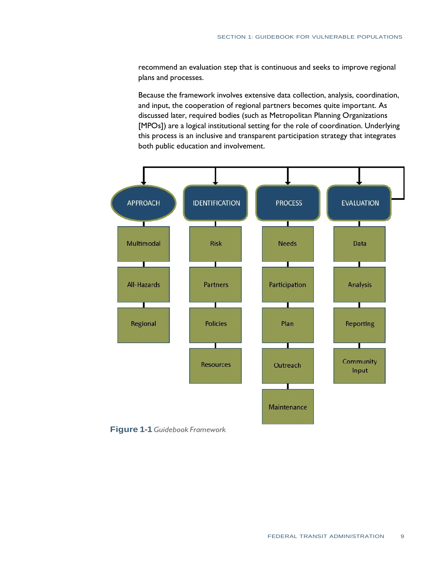recommend an evaluation step that is continuous and seeks to improve regional plans and processes.

 Because the framework involves extensive data collection, analysis, coordination, and input, the cooperation of regional partners becomes quite important. As discussed later, required bodies (such as Metropolitan Planning Organizations [MPOs]) are a logical institutional setting for the role of coordination. Underlying this process is an inclusive and transparent participation strategy that integrates both public education and involvement.



 **Figure 1-1** *Guidebook Framework*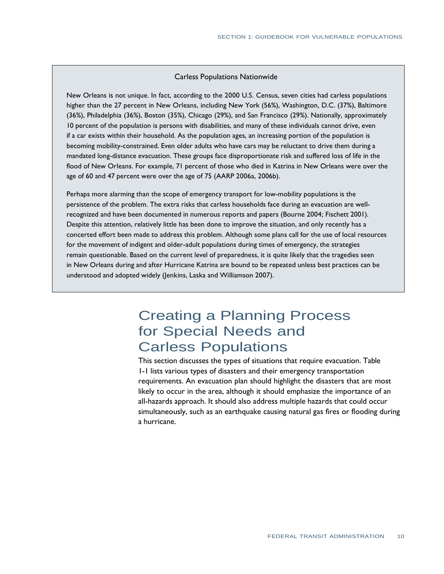#### Carless Populations Nationwide

 New Orleans is not unique. In fact, according to the 2000 U.S. Census, seven cities had carless populations higher than the 27 percent in New Orleans, including New York (56%), Washington, D.C. (37%), Baltimore (36%), Philadelphia (36%), Boston (35%), Chicago (29%), and San Francisco (29%). Nationally, approximately 10 percent of the population is persons with disabilities, and many of these individuals cannot drive, even if a car exists within their household. As the population ages, an increasing portion of the population is becoming mobility-constrained. Even older adults who have cars may be reluctant to drive them during a mandated long-distance evacuation. These groups face disproportionate risk and suffered loss of life in the flood of New Orleans. For example, 71 percent of those who died in Katrina in New Orleans were over the age of 60 and 47 percent were over the age of 75 (AARP 2006a, 2006b).

 Perhaps more alarming than the scope of emergency transport for low-mobility populations is the persistence of the problem. The extra risks that carless households face during an evacuation are well- recognized and have been documented in numerous reports and papers (Bourne 2004; Fischett 2001). Despite this attention, relatively little has been done to improve the situation, and only recently has a concerted effort been made to address this problem. Although some plans call for the use of local resources for the movement of indigent and older-adult populations during times of emergency, the strategies remain questionable. Based on the current level of preparedness, it is quite likely that the tragedies seen in New Orleans during and after Hurricane Katrina are bound to be repeated unless best practices can be understood and adopted widely (Jenkins, Laska and Williamson 2007).

## for Special Needs and Creating a Planning Process Carless Populations

 This section discusses the types of situations that require evacuation. Table 1-1 lists various types of disasters and their emergency transportation requirements. An evacuation plan should highlight the disasters that are most likely to occur in the area, although it should emphasize the importance of an all-hazards approach. It should also address multiple hazards that could occur simultaneously, such as an earthquake causing natural gas fires or flooding during a hurricane.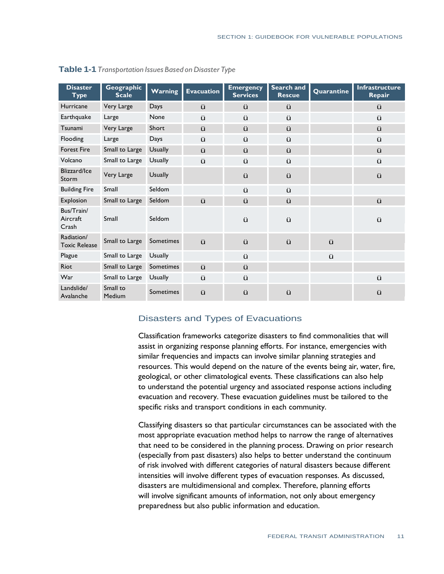| <b>Disaster</b><br><b>Type</b>     | Geographic<br><b>Scale</b> | Warning        | <b>Evacuation</b> | <b>Emergency</b><br><b>Services</b> | Search and<br><b>Rescue</b> | Quarantine | <b>Infrastructure</b><br>Repair |
|------------------------------------|----------------------------|----------------|-------------------|-------------------------------------|-----------------------------|------------|---------------------------------|
| Hurricane                          | Very Large                 | <b>Days</b>    | ü                 | ü                                   | ü                           |            | ü                               |
| Earthquake                         | Large                      | None           | ü                 | ü                                   | ü                           |            | ü                               |
| Tsunami                            | Very Large                 | Short          | ü                 | ü                                   | ü                           |            | ü                               |
| Flooding                           | Large                      | Days           | ü                 | ü                                   | ü                           |            | ü                               |
| <b>Forest Fire</b>                 | Small to Large             | <b>Usually</b> | ü                 | ü                                   | ü                           |            | ü                               |
| Volcano                            | Small to Large             | <b>Usually</b> | ü                 | ü                                   | ü                           |            | ü                               |
| Blizzard/Ice<br>Storm              | Very Large                 | <b>Usually</b> |                   | ü                                   | ü                           |            | ü                               |
| <b>Building Fire</b>               | Small                      | Seldom         |                   | ü                                   | ü                           |            |                                 |
| Explosion                          | Small to Large             | Seldom         | ü                 | ü                                   | ü                           |            | ü                               |
| Bus/Train/<br>Aircraft<br>Crash    | Small                      | Seldom         |                   | ü                                   | ü                           |            | ü                               |
| Radiation/<br><b>Toxic Release</b> | Small to Large             | Sometimes      | ü                 | ü                                   | ü                           | ü          |                                 |
| Plague                             | Small to Large             | <b>Usually</b> |                   | ü                                   |                             | ü          |                                 |
| Riot                               | Small to Large             | Sometimes      | ü                 | ü                                   |                             |            |                                 |
| War                                | Small to Large             | <b>Usually</b> | ü                 | ü                                   |                             |            | ü                               |
| Landslide/<br>Avalanche            | Small to<br>Medium         | Sometimes      | ü                 | ü                                   | ü                           |            | ü                               |

 **Table 1-1** *Transportation Issues Based on Disaster Type* 

## Disasters and Types of Evacuations

 Classification frameworks categorize disasters to find commonalities that will similar frequencies and impacts can involve similar planning strategies and resources. This would depend on the nature of the events being air, water, fire, geological, or other climatological events. These classifications can also help to understand the potential urgency and associated response actions including evacuation and recovery. These evacuation guidelines must be tailored to the specific risks and transport conditions in each community. assist in organizing response planning efforts. For instance, emergencies with

 Classifying disasters so that particular circumstances can be associated with the most appropriate evacuation method helps to narrow the range of alternatives (especially from past disasters) also helps to better understand the continuum of risk involved with different categories of natural disasters because different intensities will involve different types of evacuation responses. As discussed, disasters are multidimensional and complex. Therefore, planning efforts will involve significant amounts of information, not only about emergency that need to be considered in the planning process. Drawing on prior research preparedness but also public information and education.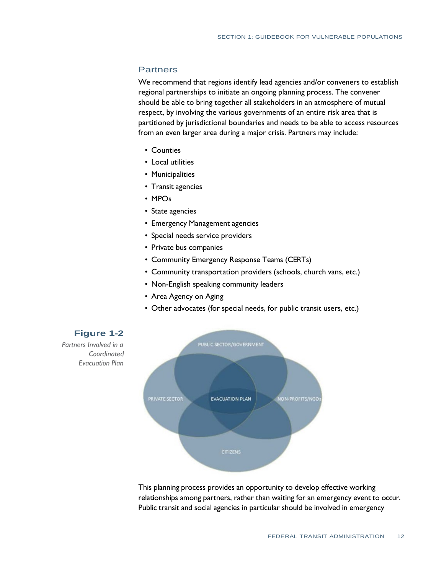## **Partners**

 We recommend that regions identify lead agencies and/or conveners to establish regional partnerships to initiate an ongoing planning process. The convener should be able to bring together all stakeholders in an atmosphere of mutual respect, by involving the various governments of an entire risk area that is partitioned by jurisdictional boundaries and needs to be able to access resources from an even larger area during a major crisis. Partners may include:

- Counties
- Local utilities
- Municipalities
- Transit agencies
- MPOs
- State agencies
- Emergency Management agencies
- Special needs service providers
- Private bus companies
- Community Emergency Response Teams (CERTs)
- Community transportation providers (schools, church vans, etc.)
- Non-English speaking community leaders
- Area Agency on Aging
- Other advocates (for special needs, for public transit users, etc.)



 This planning process provides an opportunity to develop effective working relationships among partners, rather than waiting for an emergency event to occur. Public transit and social agencies in particular should be involved in emergency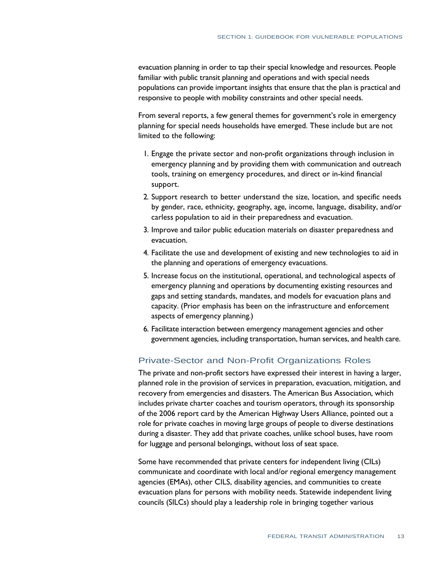evacuation planning in order to tap their special knowledge and resources. People familiar with public transit planning and operations and with special needs populations can provide important insights that ensure that the plan is practical and responsive to people with mobility constraints and other special needs.

 From several reports, a few general themes for government's role in emergency planning for special needs households have emerged. These include but are not limited to the following:

- 1. Engage the private sector and non-profit organizations through inclusion in emergency planning and by providing them with communication and outreach tools, training on emergency procedures, and direct or in-kind financial support.
- 2. Support research to better understand the size, location, and specific needs by gender, race, ethnicity, geography, age, income, language, disability, and/or carless population to aid in their preparedness and evacuation.
- 3. Improve and tailor public education materials on disaster preparedness and evacuation.
- 4. Facilitate the use and development of existing and new technologies to aid in the planning and operations of emergency evacuations.
- 5. Increase focus on the institutional, operational, and technological aspects of emergency planning and operations by documenting existing resources and gaps and setting standards, mandates, and models for evacuation plans and capacity. (Prior emphasis has been on the infrastructure and enforcement aspects of emergency planning.)
- 6. Facilitate interaction between emergency management agencies and other government agencies, including transportation, human services, and health care.

## Private-Sector and Non-Profit Organizations Roles

 The private and non-profit sectors have expressed their interest in having a larger, planned role in the provision of services in preparation, evacuation, mitigation, and recovery from emergencies and disasters. The American Bus Association, which includes private charter coaches and tourism operators, through its sponsorship of the 2006 report card by the American Highway Users Alliance, pointed out a role for private coaches in moving large groups of people to diverse destinations during a disaster. They add that private coaches, unlike school buses, have room for luggage and personal belongings, without loss of seat space.

 Some have recommended that private centers for independent living (CILs) communicate and coordinate with local and/or regional emergency management agencies (EMAs), other CILS, disability agencies, and communities to create evacuation plans for persons with mobility needs. Statewide independent living councils (SILCs) should play a leadership role in bringing together various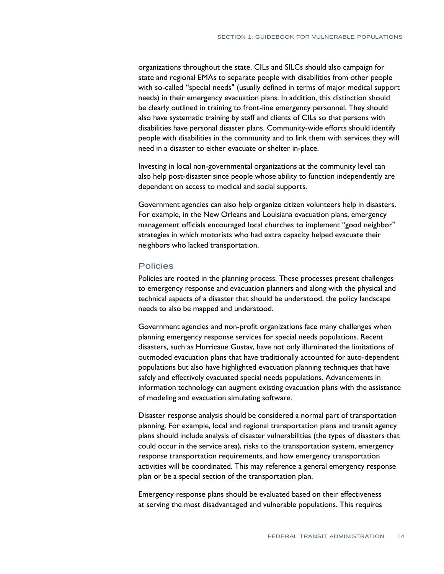organizations throughout the state. CILs and SILCs should also campaign for state and regional EMAs to separate people with disabilities from other people with so-called "special needs" (usually defined in terms of major medical support needs) in their emergency evacuation plans. In addition, this distinction should be clearly outlined in training to front-line emergency personnel. They should also have systematic training by staff and clients of CILs so that persons with disabilities have personal disaster plans. Community-wide efforts should identify people with disabilities in the community and to link them with services they will need in a disaster to either evacuate or shelter in-place.

 Investing in local non-governmental organizations at the community level can also help post-disaster since people whose ability to function independently are dependent on access to medical and social supports.

 Government agencies can also help organize citizen volunteers help in disasters. For example, in the New Orleans and Louisiana evacuation plans, emergency management officials encouraged local churches to implement "good neighbor" strategies in which motorists who had extra capacity helped evacuate their neighbors who lacked transportation.

#### Policies

 Policies are rooted in the planning process. These processes present challenges to emergency response and evacuation planners and along with the physical and technical aspects of a disaster that should be understood, the policy landscape needs to also be mapped and understood.

 Government agencies and non-profit organizations face many challenges when planning emergency response services for special needs populations. Recent disasters, such as Hurricane Gustav, have not only illuminated the limitations of outmoded evacuation plans that have traditionally accounted for auto-dependent populations but also have highlighted evacuation planning techniques that have safely and effectively evacuated special needs populations. Advancements in information technology can augment existing evacuation plans with the assistance of modeling and evacuation simulating software.

 Disaster response analysis should be considered a normal part of transportation planning. For example, local and regional transportation plans and transit agency plans should include analysis of disaster vulnerabilities (the types of disasters that could occur in the service area), risks to the transportation system, emergency response transportation requirements, and how emergency transportation activities will be coordinated. This may reference a general emergency response plan or be a special section of the transportation plan.

 Emergency response plans should be evaluated based on their effectiveness at serving the most disadvantaged and vulnerable populations. This requires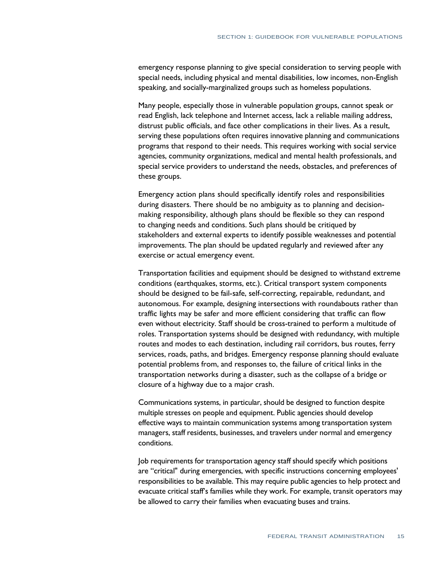emergency response planning to give special consideration to serving people with special needs, including physical and mental disabilities, low incomes, non-English speaking, and socially-marginalized groups such as homeless populations.

 Many people, especially those in vulnerable population groups, cannot speak or read English, lack telephone and Internet access, lack a reliable mailing address, distrust public officials, and face other complications in their lives. As a result, serving these populations often requires innovative planning and communications programs that respond to their needs. This requires working with social service agencies, community organizations, medical and mental health professionals, and special service providers to understand the needs, obstacles, and preferences of these groups.

 Emergency action plans should specifically identify roles and responsibilities during disasters. There should be no ambiguity as to planning and decision- making responsibility, although plans should be flexible so they can respond to changing needs and conditions. Such plans should be critiqued by stakeholders and external experts to identify possible weaknesses and potential improvements. The plan should be updated regularly and reviewed after any exercise or actual emergency event.

 Transportation facilities and equipment should be designed to withstand extreme conditions (earthquakes, storms, etc.). Critical transport system components should be designed to be fail-safe, self-correcting, repairable, redundant, and autonomous. For example, designing intersections with roundabouts rather than traffic lights may be safer and more efficient considering that traffic can flow even without electricity. Staff should be cross-trained to perform a multitude of roles. Transportation systems should be designed with redundancy, with multiple routes and modes to each destination, including rail corridors, bus routes, ferry services, roads, paths, and bridges. Emergency response planning should evaluate potential problems from, and responses to, the failure of critical links in the transportation networks during a disaster, such as the collapse of a bridge or closure of a highway due to a major crash.

 Communications systems, in particular, should be designed to function despite multiple stresses on people and equipment. Public agencies should develop effective ways to maintain communication systems among transportation system managers, staff residents, businesses, and travelers under normal and emergency conditions.

 Job requirements for transportation agency staff should specify which positions are "critical" during emergencies, with specific instructions concerning employees' responsibilities to be available. This may require public agencies to help protect and evacuate critical staff's families while they work. For example, transit operators may be allowed to carry their families when evacuating buses and trains.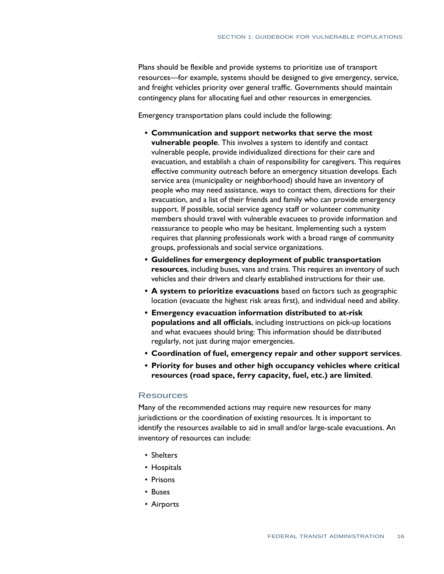Plans should be flexible and provide systems to prioritize use of transport resources—for example, systems should be designed to give emergency, service, and freight vehicles priority over general traffic. Governments should maintain contingency plans for allocating fuel and other resources in emergencies.

Emergency transportation plans could include the following:

- **• Communication and support networks that serve the most vulnerable people**. This involves a system to identify and contact vulnerable people, provide individualized directions for their care and evacuation, and establish a chain of responsibility for caregivers. This requires effective community outreach before an emergency situation develops. Each service area (municipality or neighborhood) should have an inventory of people who may need assistance, ways to contact them, directions for their evacuation, and a list of their friends and family who can provide emergency support. If possible, social service agency staff or volunteer community members should travel with vulnerable evacuees to provide information and reassurance to people who may be hesitant. Implementing such a system requires that planning professionals work with a broad range of community groups, professionals and social service organizations.
- **• Guidelines for emergency deployment of public transportation resources**, including buses, vans and trains. This requires an inventory of such vehicles and their drivers and clearly established instructions for their use.
- **•** A system to prioritize evacuations based on factors such as geographic location (evacuate the highest risk areas first), and individual need and ability.
- **populations and all officials**, including instructions on pick-up locations and what evacuees should bring: This information should be distributed regularly, not just during major emergencies. **• Emergency evacuation information distributed to at-risk**
- **• Coordination of fuel, emergency repair and other support services**.
- **• Priority for buses and other high occupancy vehicles where critical resources (road space, ferry capacity, fuel, etc.) are limited**.

## **Resources**

 Many of the recommended actions may require new resources for many jurisdictions or the coordination of existing resources. It is important to identify the resources available to aid in small and/or large-scale evacuations. An inventory of resources can include:

- Shelters
- Hospitals
- • Prisons
- • Buses
- • Airports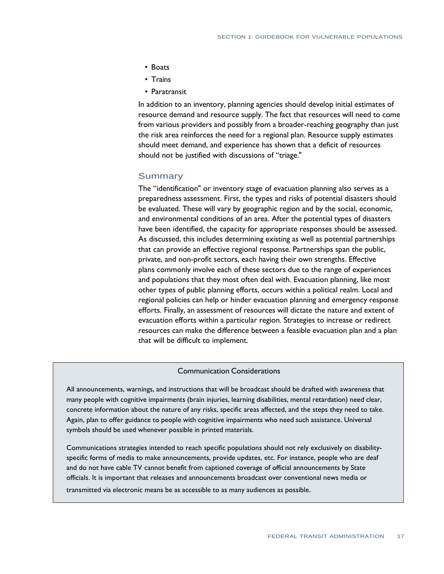- Boats
- Trains
- Paratransit

 In addition to an inventory, planning agencies should develop initial estimates of resource demand and resource supply. The fact that resources will need to come from various providers and possibly from a broader-reaching geography than just the risk area reinforces the need for a regional plan. Resource supply estimates should meet demand, and experience has shown that a deficit of resources should not be justified with discussions of "triage."

## **Summary**

 The "identification" or inventory stage of evacuation planning also serves as a preparedness assessment. First, the types and risks of potential disasters should be evaluated. These will vary by geographic region and by the social, economic, and environmental conditions of an area. After the potential types of disasters have been identified, the capacity for appropriate responses should be assessed. As discussed, this includes determining existing as well as potential partnerships that can provide an effective regional response. Partnerships span the public, private, and non-profit sectors, each having their own strengths. Effective plans commonly involve each of these sectors due to the range of experiences and populations that they most often deal with. Evacuation planning, like most other types of public planning efforts, occurs within a political realm. Local and regional policies can help or hinder evacuation planning and emergency response efforts. Finally, an assessment of resources will dictate the nature and extent of evacuation efforts within a particular region. Strategies to increase or redirect resources can make the difference between a feasible evacuation plan and a plan that will be difficult to implement.

## Communication Considerations

 All announcements, warnings, and instructions that will be broadcast should be drafted with awareness that many people with cognitive impairments (brain injuries, learning disabilities, mental retardation) need clear, concrete information about the nature of any risks, specific areas affected, and the steps they need to take. Again, plan to offer guidance to people with cognitive impairments who need such assistance. Universal symbols should be used whenever possible in printed materials.

 specific forms of media to make announcements, provide updates, etc. For instance, people who are deaf and do not have cable TV cannot benefit from captioned coverage of official announcements by State officials. It is important that releases and announcements broadcast over conventional news media or Communications strategies intended to reach specific populations should not rely exclusively on disability-

transmitted via electronic means be as accessible to as many audiences as possible.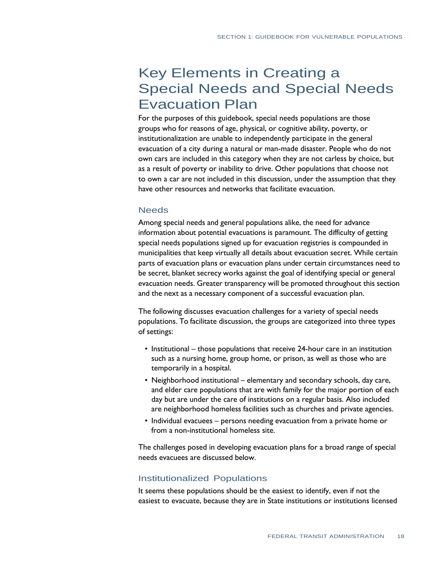## Key Elements in Creating a Special Needs and Special Needs Evacuation Plan

 For the purposes of this guidebook, special needs populations are those groups who for reasons of age, physical, or cognitive ability, poverty, or institutionalization are unable to independently participate in the general evacuation of a city during a natural or man-made disaster. People who do not own cars are included in this category when they are not carless by choice, but as a result of poverty or inability to drive. Other populations that choose not to own a car are not included in this discussion, under the assumption that they have other resources and networks that facilitate evacuation.

#### **Needs**

 Among special needs and general populations alike, the need for advance information about potential evacuations is paramount. The difficulty of getting special needs populations signed up for evacuation registries is compounded in municipalities that keep virtually all details about evacuation secret. While certain parts of evacuation plans or evacuation plans under certain circumstances need to be secret, blanket secrecy works against the goal of identifying special or general evacuation needs. Greater transparency will be promoted throughout this section and the next as a necessary component of a successful evacuation plan.

 The following discusses evacuation challenges for a variety of special needs populations. To facilitate discussion, the groups are categorized into three types of settings:

- Institutional those populations that receive 24-hour care in an institution such as a nursing home, group home, or prison, as well as those who are temporarily in a hospital.
- Neighborhood institutional elementary and secondary schools, day care, and elder care populations that are with family for the major portion of each day but are under the care of institutions on a regular basis. Also included are neighborhood homeless facilities such as churches and private agencies.
- Individual evacuees persons needing evacuation from a private home or from a non-institutional homeless site.

 The challenges posed in developing evacuation plans for a broad range of special needs evacuees are discussed below.

## Institutionalized Populations

 It seems these populations should be the easiest to identify, even if not the easiest to evacuate, because they are in State institutions or institutions licensed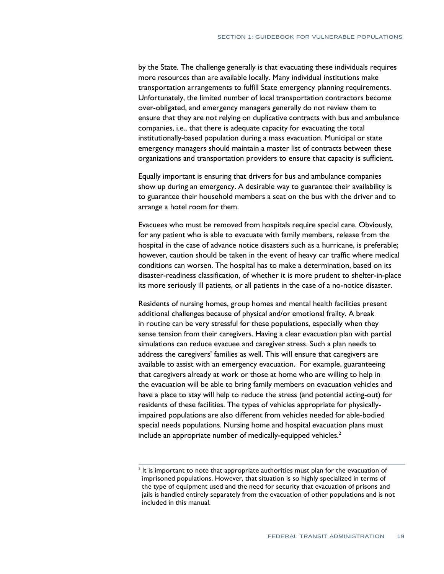by the State. The challenge generally is that evacuating these individuals requires more resources than are available locally. Many individual institutions make Unfortunately, the limited number of local transportation contractors become over-obligated, and emergency managers generally do not review them to ensure that they are not relying on duplicative contracts with bus and ambulance companies, i.e., that there is adequate capacity for evacuating the total institutionally-based population during a mass evacuation. Municipal or state emergency managers should maintain a master list of contracts between these organizations and transportation providers to ensure that capacity is sufficient. transportation arrangements to fulfill State emergency planning requirements.

 Equally important is ensuring that drivers for bus and ambulance companies show up during an emergency. A desirable way to guarantee their availability is to guarantee their household members a seat on the bus with the driver and to arrange a hotel room for them.

 Evacuees who must be removed from hospitals require special care. Obviously, for any patient who is able to evacuate with family members, release from the hospital in the case of advance notice disasters such as a hurricane, is preferable; however, caution should be taken in the event of heavy car traffic where medical conditions can worsen. The hospital has to make a determination, based on its disaster-readiness classification, of whether it is more prudent to shelter-in-place its more seriously ill patients, or all patients in the case of a no-notice disaster.

 Residents of nursing homes, group homes and mental health facilities present additional challenges because of physical and/or emotional frailty. A break in routine can be very stressful for these populations, especially when they sense tension from their caregivers. Having a clear evacuation plan with partial simulations can reduce evacuee and caregiver stress. Such a plan needs to address the caregivers' families as well. This will ensure that caregivers are available to assist with an emergency evacuation. For example, guaranteeing that caregivers already at work or those at home who are willing to help in the evacuation will be able to bring family members on evacuation vehicles and have a place to stay will help to reduce the stress (and potential acting-out) for residents of these facilities. The types of vehicles appropriate for physically- impaired populations are also different from vehicles needed for able-bodied special needs populations. Nursing home and hospital evacuation plans must include an appropriate number of medically-equipped vehicles.<sup>2</sup>

 $2$  It is important to note that appropriate authorities must plan for the evacuation of imprisoned populations. However, that situation is so highly specialized in terms of the type of equipment used and the need for security that evacuation of prisons and jails is handled entirely separately from the evacuation of other populations and is not included in this manual.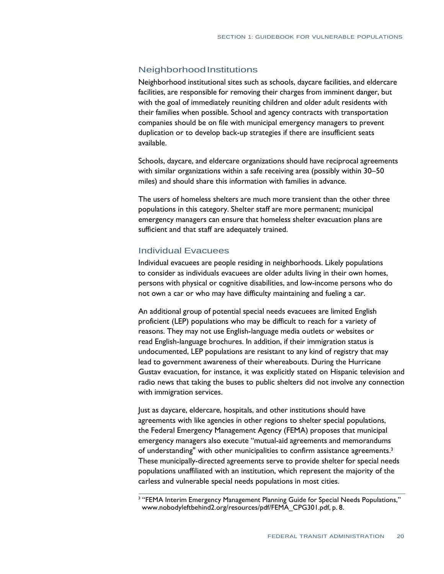## NeighborhoodInstitutions

 Neighborhood institutional sites such as schools, daycare facilities, and eldercare facilities, are responsible for removing their charges from imminent danger, but with the goal of immediately reuniting children and older adult residents with their families when possible. School and agency contracts with transportation companies should be on file with municipal emergency managers to prevent duplication or to develop back-up strategies if there are insufficient seats available.

 Schools, daycare, and eldercare organizations should have reciprocal agreements with similar organizations within a safe receiving area (possibly within 30–50 miles) and should share this information with families in advance.

 The users of homeless shelters are much more transient than the other three populations in this category. Shelter staff are more permanent; municipal emergency managers can ensure that homeless shelter evacuation plans are sufficient and that staff are adequately trained.

## Individual Evacuees

 Individual evacuees are people residing in neighborhoods. Likely populations to consider as individuals evacuees are older adults living in their own homes, persons with physical or cognitive disabilities, and low-income persons who do not own a car or who may have difficulty maintaining and fueling a car.

 An additional group of potential special needs evacuees are limited English proficient (LEP) populations who may be difficult to reach for a variety of reasons. They may not use English-language media outlets or websites or read English-language brochures. In addition, if their immigration status is undocumented, LEP populations are resistant to any kind of registry that may lead to government awareness of their whereabouts. During the Hurricane Gustav evacuation, for instance, it was explicitly stated on Hispanic television and radio news that taking the buses to public shelters did not involve any connection with immigration services.

 Just as daycare, eldercare, hospitals, and other institutions should have agreements with like agencies in other regions to shelter special populations, the Federal Emergency Management Agency (FEMA) proposes that municipal emergency managers also execute "mutual-aid agreements and memorandums of understanding" with other municipalities to confirm assistance agreements.<sup>3</sup> These municipally-directed agreements serve to provide shelter for special needs populations unaffiliated with an institution, which represent the majority of the carless and vulnerable special needs populations in most cities.

 3 "FEMA Interim Emergency Management Planning Guide for Special Needs Populations," [www.nobodyleftbehind2.org/resources/pdf/FEMA\\_CPG301.pdf,](http://www.nobodyleftbehind2.org/resources/pdf/FEMA_CPG301.pdf) p. 8.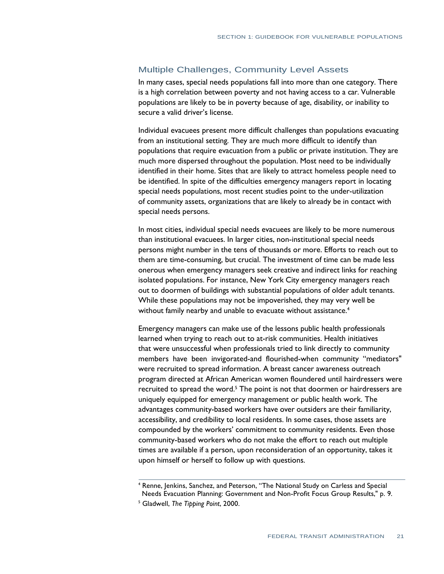## Multiple Challenges, Community Level Assets

 In many cases, special needs populations fall into more than one category. There is a high correlation between poverty and not having access to a car. Vulnerable populations are likely to be in poverty because of age, disability, or inability to secure a valid driver's license.

 Individual evacuees present more difficult challenges than populations evacuating from an institutional setting. They are much more difficult to identify than populations that require evacuation from a public or private institution. They are much more dispersed throughout the population. Most need to be individually identified in their home. Sites that are likely to attract homeless people need to be identified. In spite of the difficulties emergency managers report in locating special needs populations, most recent studies point to the under-utilization of community assets, organizations that are likely to already be in contact with special needs persons.

 In most cities, individual special needs evacuees are likely to be more numerous than institutional evacuees. In larger cities, non-institutional special needs persons might number in the tens of thousands or more. Efforts to reach out to them are time-consuming, but crucial. The investment of time can be made less onerous when emergency managers seek creative and indirect links for reaching isolated populations. For instance, New York City emergency managers reach out to doormen of buildings with substantial populations of older adult tenants. While these populations may not be impoverished, they may very well be without family nearby and unable to evacuate without assistance.<sup>4</sup>

 Emergency managers can make use of the lessons public health professionals learned when trying to reach out to at-risk communities. Health initiatives that were unsuccessful when professionals tried to link directly to community members have been invigorated-and flourished-when community "mediators" were recruited to spread information. A breast cancer awareness outreach program directed at African American women floundered until hairdressers were recruited to spread the word.<sup>5</sup> The point is not that doormen or hairdressers are uniquely equipped for emergency management or public health work. The advantages community-based workers have over outsiders are their familiarity, accessibility, and credibility to local residents. In some cases, those assets are compounded by the workers' commitment to community residents. Even those community-based workers who do not make the effort to reach out multiple times are available if a person, upon reconsideration of an opportunity, takes it upon himself or herself to follow up with questions.

<sup>&</sup>lt;sup>4</sup> Renne, Jenkins, Sanchez, and Peterson, "The National Study on Carless and Special Needs Evacuation Planning: Government and Non-Profit Focus Group Results," p. 9.<br><sup>5</sup> Gladwell, *The Tipping Point*, 2000.

<sup>&</sup>lt;sup>5</sup> Gladwell, The Tipping Point, 2000.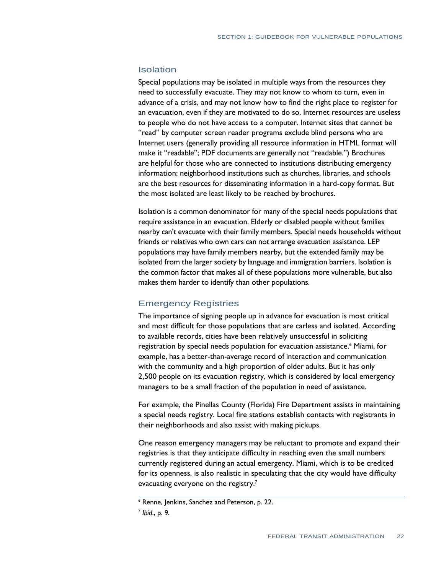## Isolation

 Special populations may be isolated in multiple ways from the resources they need to successfully evacuate. They may not know to whom to turn, even in advance of a crisis, and may not know how to find the right place to register for an evacuation, even if they are motivated to do so. Internet resources are useless to people who do not have access to a computer. Internet sites that cannot be "read" by computer screen reader programs exclude blind persons who are Internet users (generally providing all resource information in HTML format will make it "readable"; PDF documents are generally not "readable.") Brochures are helpful for those who are connected to institutions distributing emergency information; neighborhood institutions such as churches, libraries, and schools are the best resources for disseminating information in a hard-copy format. But the most isolated are least likely to be reached by brochures.

 Isolation is a common denominator for many of the special needs populations that require assistance in an evacuation. Elderly or disabled people without families nearby can't evacuate with their family members. Special needs households without friends or relatives who own cars can not arrange evacuation assistance. LEP populations may have family members nearby, but the extended family may be isolated from the larger society by language and immigration barriers. Isolation is the common factor that makes all of these populations more vulnerable, but also makes them harder to identify than other populations.

## Emergency Registries

 The importance of signing people up in advance for evacuation is most critical and most difficult for those populations that are carless and isolated. According to available records, cities have been relatively unsuccessful in soliciting registration by special needs population for evacuation assistance.<sup>6</sup> Miami, for example, has a better-than-average record of interaction and communication with the community and a high proportion of older adults. But it has only 2,500 people on its evacuation registry, which is considered by local emergency managers to be a small fraction of the population in need of assistance.

 For example, the Pinellas County (Florida) Fire Department assists in maintaining a special needs registry. Local fire stations establish contacts with registrants in their neighborhoods and also assist with making pickups.

 One reason emergency managers may be reluctant to promote and expand their registries is that they anticipate difficulty in reaching even the small numbers currently registered during an actual emergency. Miami, which is to be credited for its openness, is also realistic in speculating that the city would have difficulty evacuating everyone on the registry. $<sup>7</sup>$ </sup>

 6 Renne, Jenkins, Sanchez and Peterson, p. 22.

<sup>7</sup>*Ibid*., p. 9.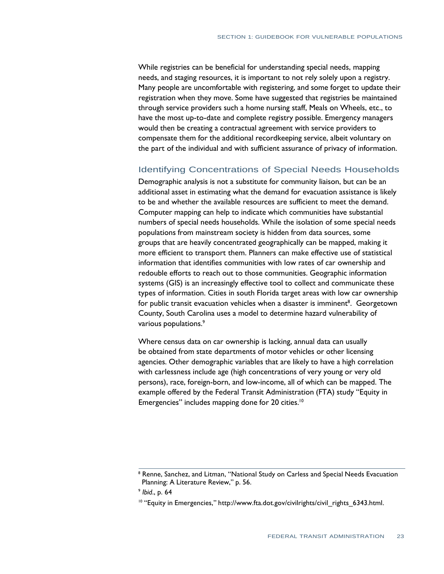While registries can be beneficial for understanding special needs, mapping needs, and staging resources, it is important to not rely solely upon a registry. Many people are uncomfortable with registering, and some forget to update their registration when they move. Some have suggested that registries be maintained through service providers such a home nursing staff, Meals on Wheels, etc., to have the most up-to-date and complete registry possible. Emergency managers would then be creating a contractual agreement with service providers to compensate them for the additional recordkeeping service, albeit voluntary on the part of the individual and with sufficient assurance of privacy of information.

## Identifying Concentrations of Special Needs Households

 Demographic analysis is not a substitute for community liaison, but can be an additional asset in estimating what the demand for evacuation assistance is likely to be and whether the available resources are sufficient to meet the demand. Computer mapping can help to indicate which communities have substantial numbers of special needs households. While the isolation of some special needs populations from mainstream society is hidden from data sources, some groups that are heavily concentrated geographically can be mapped, making it more efficient to transport them. Planners can make effective use of statistical information that identifies communities with low rates of car ownership and redouble efforts to reach out to those communities. Geographic information systems (GIS) is an increasingly effective tool to collect and communicate these types of information. Cities in south Florida target areas with low car ownership for public transit evacuation vehicles when a disaster is imminent<sup>8</sup>. Georgetown County, South Carolina uses a model to determine hazard vulnerability of various populations.9

 Where census data on car ownership is lacking, annual data can usually be obtained from state departments of motor vehicles or other licensing agencies. Other demographic variables that are likely to have a high correlation with carlessness include age (high concentrations of very young or very old persons), race, foreign-born, and low-income, all of which can be mapped. The example offered by the Federal Transit Administration (FTA) study "Equity in Emergencies" includes mapping done for 20 cities.<sup>10</sup>

<sup>&</sup>lt;sup>8</sup> Renne, Sanchez, and Litman, "National Study on Carless and Special Needs Evacuation Planning: A Literature Review," p. 56.

<sup>9</sup>*Ibid*., p. 64

<sup>&</sup>lt;sup>10</sup> "Equity in Emergencies," http://www.fta.dot.gov/civilrights/civil\_rights\_6343.html.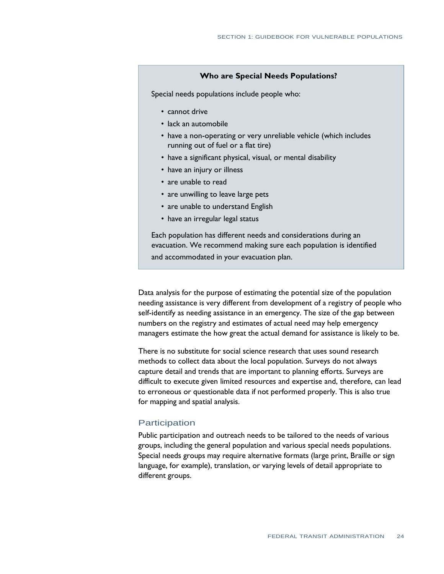#### **Who are Special Needs Populations?**

Special needs populations include people who:

- cannot drive
- lack an automobile
- have a non-operating or very unreliable vehicle (which includes running out of fuel or a flat tire)
- have a significant physical, visual, or mental disability
- have an injury or illness
- are unable to read
- are unwilling to leave large pets
- are unable to understand English
- have an irregular legal status

 Each population has different needs and considerations during an evacuation. We recommend making sure each population is identified and accommodated in your evacuation plan.

 Data analysis for the purpose of estimating the potential size of the population needing assistance is very different from development of a registry of people who self-identify as needing assistance in an emergency. The size of the gap between numbers on the registry and estimates of actual need may help emergency managers estimate the how great the actual demand for assistance is likely to be.

 There is no substitute for social science research that uses sound research methods to collect data about the local population. Surveys do not always capture detail and trends that are important to planning efforts. Surveys are difficult to execute given limited resources and expertise and, therefore, can lead to erroneous or questionable data if not performed properly. This is also true for mapping and spatial analysis.

### **Participation**

 Public participation and outreach needs to be tailored to the needs of various groups, including the general population and various special needs populations. Special needs groups may require alternative formats (large print, Braille or sign language, for example), translation, or varying levels of detail appropriate to different groups.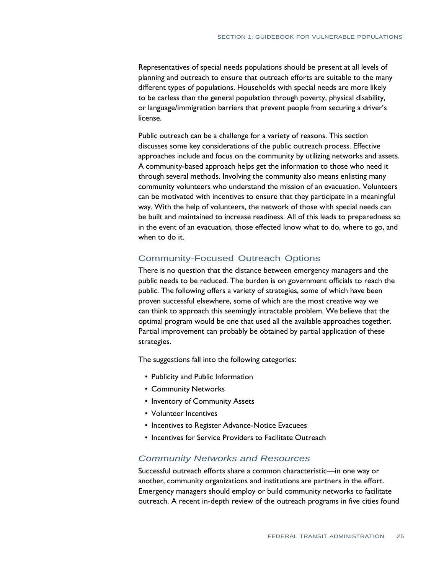Representatives of special needs populations should be present at all levels of planning and outreach to ensure that outreach efforts are suitable to the many different types of populations. Households with special needs are more likely to be carless than the general population through poverty, physical disability, or language/immigration barriers that prevent people from securing a driver's license.

 Public outreach can be a challenge for a variety of reasons. This section discusses some key considerations of the public outreach process. Effective approaches include and focus on the community by utilizing networks and assets. A community-based approach helps get the information to those who need it through several methods. Involving the community also means enlisting many community volunteers who understand the mission of an evacuation. Volunteers can be motivated with incentives to ensure that they participate in a meaningful way. With the help of volunteers, the network of those with special needs can be built and maintained to increase readiness. All of this leads to preparedness so in the event of an evacuation, those effected know what to do, where to go, and when to do it.

## Community-Focused Outreach Options

 There is no question that the distance between emergency managers and the public needs to be reduced. The burden is on government officials to reach the public. The following offers a variety of strategies, some of which have been proven successful elsewhere, some of which are the most creative way we can think to approach this seemingly intractable problem. We believe that the optimal program would be one that used all the available approaches together. Partial improvement can probably be obtained by partial application of these strategies.

The suggestions fall into the following categories:

- Publicity and Public Information
- Community Networks
- Inventory of Community Assets
- Volunteer Incentives
- Incentives to Register Advance-Notice Evacuees
- Incentives for Service Providers to Facilitate Outreach

## *Community Networks and Resources*

 Successful outreach efforts share a common characteristic—in one way or another, community organizations and institutions are partners in the effort. Emergency managers should employ or build community networks to facilitate outreach. A recent in-depth review of the outreach programs in five cities found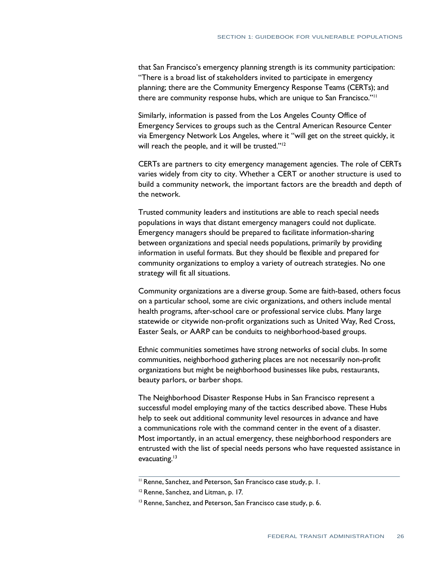that San Francisco's emergency planning strength is its community participation: "There is a broad list of stakeholders invited to participate in emergency planning; there are the Community Emergency Response Teams (CERTs); and there are community response hubs, which are unique to San Francisco."11

 Similarly, information is passed from the Los Angeles County Office of Emergency Services to groups such as the Central American Resource Center via Emergency Network Los Angeles, where it "will get on the street quickly, it will reach the people, and it will be trusted."<sup>12</sup>

 CERTs are partners to city emergency management agencies. The role of CERTs varies widely from city to city. Whether a CERT or another structure is used to build a community network, the important factors are the breadth and depth of the network.

 Trusted community leaders and institutions are able to reach special needs populations in ways that distant emergency managers could not duplicate. Emergency managers should be prepared to facilitate information-sharing between organizations and special needs populations, primarily by providing information in useful formats. But they should be flexible and prepared for community organizations to employ a variety of outreach strategies. No one strategy will fit all situations.

 Community organizations are a diverse group. Some are faith-based, others focus on a particular school, some are civic organizations, and others include mental health programs, after-school care or professional service clubs. Many large statewide or citywide non-profit organizations such as United Way, Red Cross, Easter Seals, or AARP can be conduits to neighborhood-based groups.

 Ethnic communities sometimes have strong networks of social clubs. In some communities, neighborhood gathering places are not necessarily non-profit organizations but might be neighborhood businesses like pubs, restaurants, beauty parlors, or barber shops.

 The Neighborhood Disaster Response Hubs in San Francisco represent a successful model employing many of the tactics described above. These Hubs help to seek out additional community level resources in advance and have a communications role with the command center in the event of a disaster. Most importantly, in an actual emergency, these neighborhood responders are entrusted with the list of special needs persons who have requested assistance in evacuating.<sup>13</sup>

<sup>&</sup>lt;sup>11</sup> Renne, Sanchez, and Peterson, San Francisco case study, p. 1.

<sup>&</sup>lt;sup>12</sup> Renne, Sanchez, and Litman, p. 17.

<sup>&</sup>lt;sup>13</sup> Renne, Sanchez, and Peterson, San Francisco case study, p. 6.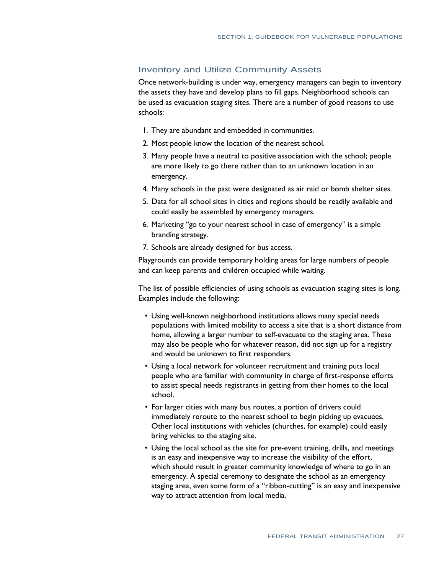## Inventory and Utilize Community Assets

 Once network-building is under way, emergency managers can begin to inventory the assets they have and develop plans to fill gaps. Neighborhood schools can be used as evacuation staging sites. There are a number of good reasons to use schools:

- 1. They are abundant and embedded in communities.
- 2. Most people know the location of the nearest school.
- 3. Many people have a neutral to positive association with the school; people are more likely to go there rather than to an unknown location in an emergency.
- 4. Many schools in the past were designated as air raid or bomb shelter sites.
- 5. Data for all school sites in cities and regions should be readily available and could easily be assembled by emergency managers.
- 6. Marketing "go to your nearest school in case of emergency" is a simple branding strategy.
- 7. Schools are already designed for bus access.

 Playgrounds can provide temporary holding areas for large numbers of people and can keep parents and children occupied while waiting.

 The list of possible efficiencies of using schools as evacuation staging sites is long. Examples include the following:

- Using well-known neighborhood institutions allows many special needs populations with limited mobility to access a site that is a short distance from home, allowing a larger number to self-evacuate to the staging area. These may also be people who for whatever reason, did not sign up for a registry and would be unknown to first responders.
- Using a local network for volunteer recruitment and training puts local people who are familiar with community in charge of first-response efforts to assist special needs registrants in getting from their homes to the local school.
- For larger cities with many bus routes, a portion of drivers could immediately reroute to the nearest school to begin picking up evacuees. Other local institutions with vehicles (churches, for example) could easily bring vehicles to the staging site.
- Using the local school as the site for pre-event training, drills, and meetings is an easy and inexpensive way to increase the visibility of the effort, which should result in greater community knowledge of where to go in an emergency. A special ceremony to designate the school as an emergency staging area, even some form of a "ribbon-cutting" is an easy and inexpensive way to attract attention from local media.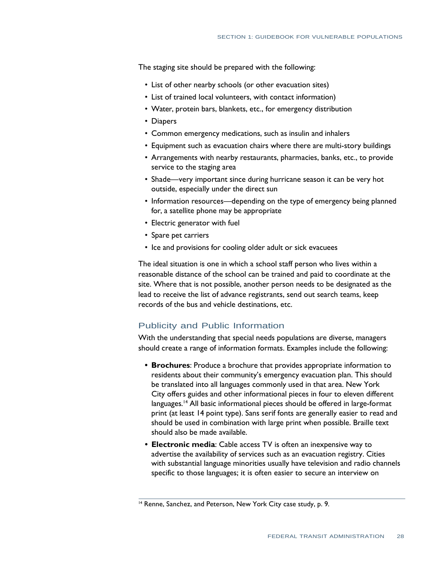The staging site should be prepared with the following:

- List of other nearby schools (or other evacuation sites)
- List of trained local volunteers, with contact information)
- Water, protein bars, blankets, etc., for emergency distribution
- Diapers
- Common emergency medications, such as insulin and inhalers
- Equipment such as evacuation chairs where there are multi-story buildings
- Arrangements with nearby restaurants, pharmacies, banks, etc., to provide service to the staging area
- Shade—very important since during hurricane season it can be very hot outside, especially under the direct sun
- Information resources—depending on the type of emergency being planned for, a satellite phone may be appropriate
- Electric generator with fuel
- • Spare pet carriers
- Ice and provisions for cooling older adult or sick evacuees

 The ideal situation is one in which a school staff person who lives within a reasonable distance of the school can be trained and paid to coordinate at the site. Where that is not possible, another person needs to be designated as the lead to receive the list of advance registrants, send out search teams, keep records of the bus and vehicle destinations, etc.

## Publicity and Public Information

 With the understanding that special needs populations are diverse, managers should create a range of information formats. Examples include the following:

- **• Brochures**: Produce a brochure that provides appropriate information to residents about their community's emergency evacuation plan. This should be translated into all languages commonly used in that area. New York City offers guides and other informational pieces in four to eleven different languages.<sup>14</sup> All basic informational pieces should be offered in large-format print (at least 14 point type). Sans serif fonts are generally easier to read and should be used in combination with large print when possible. Braille text should also be made available.
- **• Electronic media**: Cable access TV is often an inexpensive way to advertise the availability of services such as an evacuation registry. Cities with substantial language minorities usually have television and radio channels specific to those languages; it is often easier to secure an interview on

<sup>&</sup>lt;sup>14</sup> Renne, Sanchez, and Peterson, New York City case study, p. 9.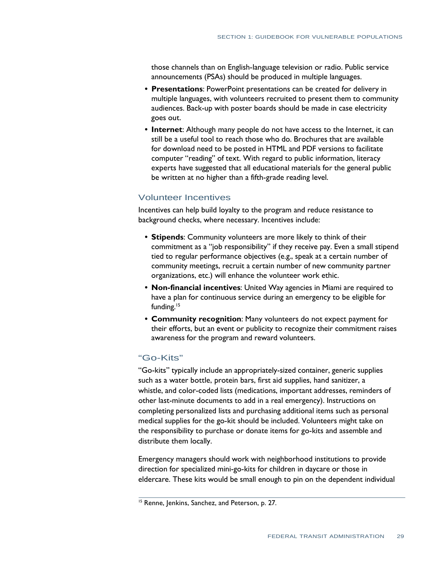those channels than on English-language television or radio. Public service announcements (PSAs) should be produced in multiple languages.

- **• Presentations**: PowerPoint presentations can be created for delivery in multiple languages, with volunteers recruited to present them to community audiences. Back-up with poster boards should be made in case electricity goes out.
- **• Internet**: Although many people do not have access to the Internet, it can still be a useful tool to reach those who do. Brochures that are available for download need to be posted in HTML and PDF versions to facilitate computer "reading" of text. With regard to public information, literacy experts have suggested that all educational materials for the general public be written at no higher than a fifth-grade reading level.

## Volunteer Incentives

 Incentives can help build loyalty to the program and reduce resistance to background checks, where necessary. Incentives include:

- **• Stipends**: Community volunteers are more likely to think of their commitment as a "job responsibility" if they receive pay. Even a small stipend tied to regular performance objectives (e.g., speak at a certain number of community meetings, recruit a certain number of new community partner organizations, etc.) will enhance the volunteer work ethic.
- **• Non-financial incentives**: United Way agencies in Miami are required to have a plan for continuous service during an emergency to be eligible for funding.<sup>15</sup>
- **• Community recognition**: Many volunteers do not expect payment for their efforts, but an event or publicity to recognize their commitment raises awareness for the program and reward volunteers.

## "Go-Kits"

 "Go-kits" typically include an appropriately-sized container, generic supplies such as a water bottle, protein bars, first aid supplies, hand sanitizer, a whistle, and color-coded lists (medications, important addresses, reminders of other last-minute documents to add in a real emergency). Instructions on completing personalized lists and purchasing additional items such as personal medical supplies for the go-kit should be included. Volunteers might take on the responsibility to purchase or donate items for go-kits and assemble and distribute them locally.

 Emergency managers should work with neighborhood institutions to provide direction for specialized mini-go-kits for children in daycare or those in eldercare. These kits would be small enough to pin on the dependent individual

<sup>&</sup>lt;sup>15</sup> Renne, Jenkins, Sanchez, and Peterson, p. 27.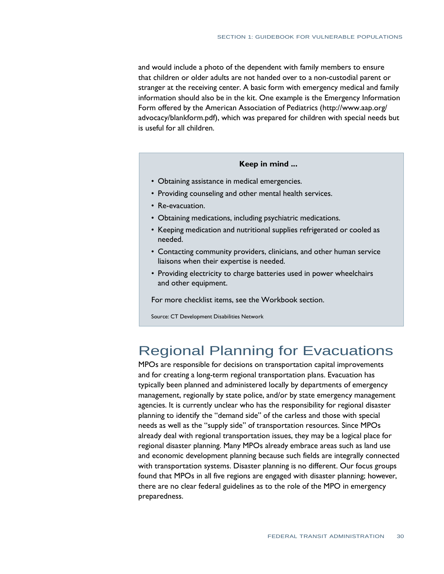and would include a photo of the dependent with family members to ensure that children or older adults are not handed over to a non-custodial parent or stranger at the receiving center. A basic form with emergency medical and family information should also be in the kit. One example is the Emergency Information Form offered by the American Association of Pediatrics [\(http://www.aap.org/](http://www.aap.org/)  advocacy/blankform.pdf), which was prepared for children with special needs but is useful for all children.

#### **Keep in mind ...**

- Obtaining assistance in medical emergencies.
- Providing counseling and other mental health services.
- Re-evacuation.
- Obtaining medications, including psychiatric medications.
- Keeping medication and nutritional supplies refrigerated or cooled as needed.
- Contacting community providers, clinicians, and other human service liaisons when their expertise is needed.
- Providing electricity to charge batteries used in power wheelchairs and other equipment.

For more checklist items, see the Workbook section.

Source: CT Development Disabilities Network

# Regional Planning for Evacuations

 and for creating a long-term regional transportation plans. Evacuation has typically been planned and administered locally by departments of emergency management, regionally by state police, and/or by state emergency management agencies. It is currently unclear who has the responsibility for regional disaster planning to identify the "demand side" of the carless and those with special needs as well as the "supply side" of transportation resources. Since MPOs already deal with regional transportation issues, they may be a logical place for regional disaster planning. Many MPOs already embrace areas such as land use and economic development planning because such fields are integrally connected with transportation systems. Disaster planning is no different. Our focus groups found that MPOs in all five regions are engaged with disaster planning; however, there are no clear federal guidelines as to the role of the MPO in emergency MPOs are responsible for decisions on transportation capital improvements preparedness.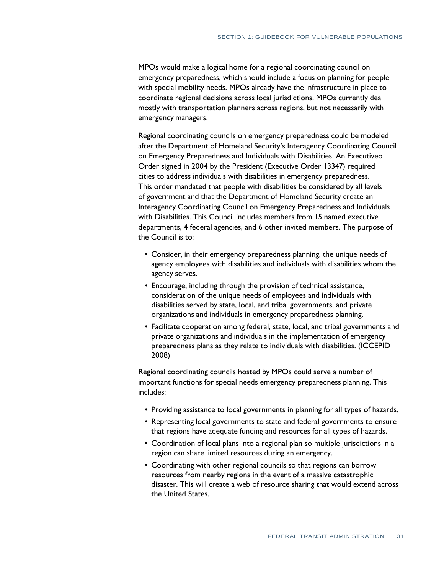MPOs would make a logical home for a regional coordinating council on emergency preparedness, which should include a focus on planning for people with special mobility needs. MPOs already have the infrastructure in place to coordinate regional decisions across local jurisdictions. MPOs currently deal mostly with transportation planners across regions, but not necessarily with emergency managers.

 Regional coordinating councils on emergency preparedness could be modeled after the Department of Homeland Security's Interagency Coordinating Council on Emergency Preparedness and Individuals with Disabilities. An Executiveo Order signed in 2004 by the President (Executive Order 13347) required cities to address individuals with disabilities in emergency preparedness. This order mandated that people with disabilities be considered by all levels of government and that the Department of Homeland Security create an Interagency Coordinating Council on Emergency Preparedness and Individuals with Disabilities. This Council includes members from 15 named executive departments, 4 federal agencies, and 6 other invited members. The purpose of the Council is to:

- Consider, in their emergency preparedness planning, the unique needs of agency employees with disabilities and individuals with disabilities whom the agency serves.
- Encourage, including through the provision of technical assistance, consideration of the unique needs of employees and individuals with disabilities served by state, local, and tribal governments, and private organizations and individuals in emergency preparedness planning.
- Facilitate cooperation among federal, state, local, and tribal governments and private organizations and individuals in the implementation of emergency preparedness plans as they relate to individuals with disabilities. (ICCEPID 2008)

 Regional coordinating councils hosted by MPOs could serve a number of important functions for special needs emergency preparedness planning. This includes:

- Providing assistance to local governments in planning for all types of hazards.
- Representing local governments to state and federal governments to ensure that regions have adequate funding and resources for all types of hazards.
- Coordination of local plans into a regional plan so multiple jurisdictions in a region can share limited resources during an emergency.
- Coordinating with other regional councils so that regions can borrow resources from nearby regions in the event of a massive catastrophic disaster. This will create a web of resource sharing that would extend across the United States.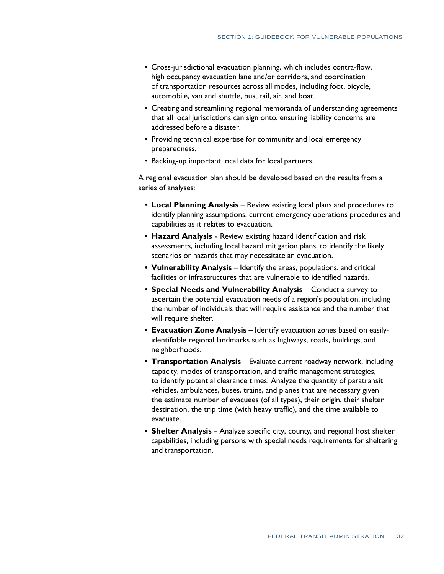- Cross-jurisdictional evacuation planning, which includes contra-flow, high occupancy evacuation lane and/or corridors, and coordination of transportation resources across all modes, including foot, bicycle, automobile, van and shuttle, bus, rail, air, and boat.
- Creating and streamlining regional memoranda of understanding agreements that all local jurisdictions can sign onto, ensuring liability concerns are addressed before a disaster.
- Providing technical expertise for community and local emergency preparedness.
- Backing-up important local data for local partners.

 A regional evacuation plan should be developed based on the results from a series of analyses:

- **Local Planning Analysis** Review existing local plans and procedures to identify planning assumptions, current emergency operations procedures and capabilities as it relates to evacuation.
- **Hazard Analysis** Review existing hazard identification and risk assessments, including local hazard mitigation plans, to identify the likely scenarios or hazards that may necessitate an evacuation.
- **•** Vulnerability Analysis Identify the areas, populations, and critical facilities or infrastructures that are vulnerable to identified hazards.
- **• Special Needs and Vulnerability Analysis**  Conduct a survey to ascertain the potential evacuation needs of a region's population, including the number of individuals that will require assistance and the number that will require shelter.
- **Evacuation Zone Analysis** Identify evacuation zones based on easily- identifiable regional landmarks such as highways, roads, buildings, and neighborhoods.
- **Transportation Analysis** Evaluate current roadway network, including capacity, modes of transportation, and traffic management strategies, to identify potential clearance times. Analyze the quantity of paratransit vehicles, ambulances, buses, trains, and planes that are necessary given the estimate number of evacuees (of all types), their origin, their shelter destination, the trip time (with heavy traffic), and the time available to evacuate.
- **•** Shelter Analysis Analyze specific city, county, and regional host shelter capabilities, including persons with special needs requirements for sheltering and transportation.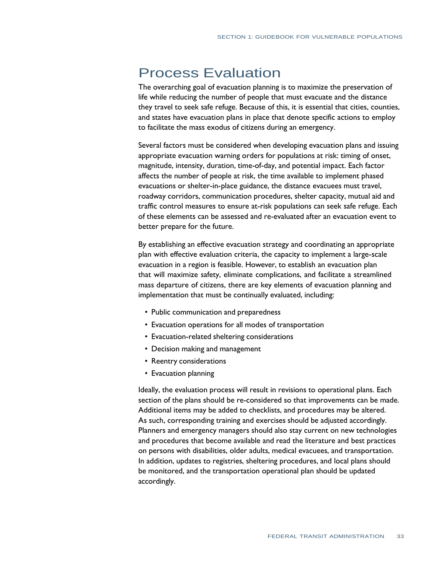## Process Evaluation

 The overarching goal of evacuation planning is to maximize the preservation of life while reducing the number of people that must evacuate and the distance they travel to seek safe refuge. Because of this, it is essential that cities, counties, and states have evacuation plans in place that denote specific actions to employ to facilitate the mass exodus of citizens during an emergency.

 Several factors must be considered when developing evacuation plans and issuing appropriate evacuation warning orders for populations at risk: timing of onset, magnitude, intensity, duration, time-of-day, and potential impact. Each factor affects the number of people at risk, the time available to implement phased evacuations or shelter-in-place guidance, the distance evacuees must travel, roadway corridors, communication procedures, shelter capacity, mutual aid and traffic control measures to ensure at-risk populations can seek safe refuge. Each of these elements can be assessed and re-evaluated after an evacuation event to better prepare for the future.

 By establishing an effective evacuation strategy and coordinating an appropriate plan with effective evaluation criteria, the capacity to implement a large-scale evacuation in a region is feasible. However, to establish an evacuation plan that will maximize safety, eliminate complications, and facilitate a streamlined mass departure of citizens, there are key elements of evacuation planning and implementation that must be continually evaluated, including:

- Public communication and preparedness
- Evacuation operations for all modes of transportation
- Evacuation-related sheltering considerations
- Decision making and management
- Reentry considerations
- Evacuation planning

 Ideally, the evaluation process will result in revisions to operational plans. Each section of the plans should be re-considered so that improvements can be made. Additional items may be added to checklists, and procedures may be altered. As such, corresponding training and exercises should be adjusted accordingly. Planners and emergency managers should also stay current on new technologies and procedures that become available and read the literature and best practices on persons with disabilities, older adults, medical evacuees, and transportation. In addition, updates to registries, sheltering procedures, and local plans should be monitored, and the transportation operational plan should be updated accordingly.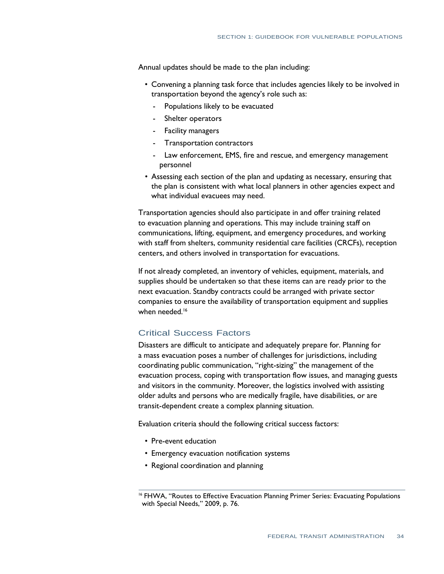Annual updates should be made to the plan including:

- Convening a planning task force that includes agencies likely to be involved in transportation beyond the agency's role such as:
	- Populations likely to be evacuated
	- Shelter operators
	- Facility managers
	- Transportation contractors
	- - Law enforcement, EMS, fire and rescue, and emergency management personnel
- Assessing each section of the plan and updating as necessary, ensuring that the plan is consistent with what local planners in other agencies expect and what individual evacuees may need.

 Transportation agencies should also participate in and offer training related to evacuation planning and operations. This may include training staff on communications, lifting, equipment, and emergency procedures, and working with staff from shelters, community residential care facilities (CRCFs), reception centers, and others involved in transportation for evacuations.

 If not already completed, an inventory of vehicles, equipment, materials, and supplies should be undertaken so that these items can are ready prior to the next evacuation. Standby contracts could be arranged with private sector companies to ensure the availability of transportation equipment and supplies when needed.<sup>16</sup>

## Critical Success Factors

 Disasters are difficult to anticipate and adequately prepare for. Planning for a mass evacuation poses a number of challenges for jurisdictions, including coordinating public communication, "right-sizing" the management of the evacuation process, coping with transportation flow issues, and managing guests and visitors in the community. Moreover, the logistics involved with assisting older adults and persons who are medically fragile, have disabilities, or are transit-dependent create a complex planning situation.

Evaluation criteria should the following critical success factors:

- Pre-event education
- Emergency evacuation notification systems
- Regional coordination and planning

<sup>&</sup>lt;sup>16</sup> FHWA, "Routes to Effective Evacuation Planning Primer Series: Evacuating Populations with Special Needs," 2009, p. 76.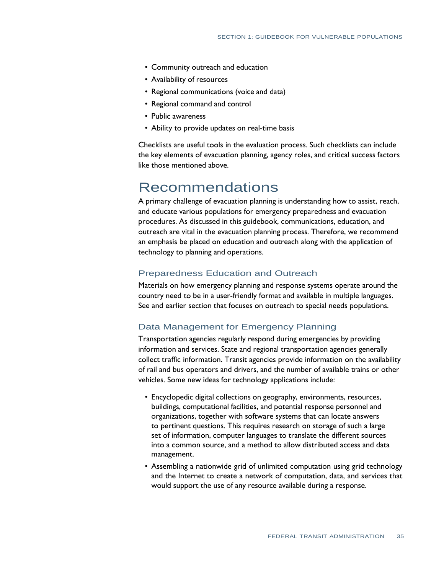- Community outreach and education
- • Availability of resources
- Regional communications (voice and data)
- Regional command and control
- Public awareness
- Ability to provide updates on real-time basis

 Checklists are useful tools in the evaluation process. Such checklists can include the key elements of evacuation planning, agency roles, and critical success factors like those mentioned above.

# Recommendations

 A primary challenge of evacuation planning is understanding how to assist, reach, and educate various populations for emergency preparedness and evacuation procedures. As discussed in this guidebook, communications, education, and outreach are vital in the evacuation planning process. Therefore, we recommend an emphasis be placed on education and outreach along with the application of technology to planning and operations.

## Preparedness Education and Outreach

 Materials on how emergency planning and response systems operate around the country need to be in a user-friendly format and available in multiple languages. See and earlier section that focuses on outreach to special needs populations.

## Data Management for Emergency Planning

 Transportation agencies regularly respond during emergencies by providing information and services. State and regional transportation agencies generally collect traffic information. Transit agencies provide information on the availability of rail and bus operators and drivers, and the number of available trains or other vehicles. Some new ideas for technology applications include:

- Encyclopedic digital collections on geography, environments, resources, buildings, computational facilities, and potential response personnel and organizations, together with software systems that can locate answers to pertinent questions. This requires research on storage of such a large set of information, computer languages to translate the different sources into a common source, and a method to allow distributed access and data management.
- Assembling a nationwide grid of unlimited computation using grid technology and the Internet to create a network of computation, data, and services that would support the use of any resource available during a response.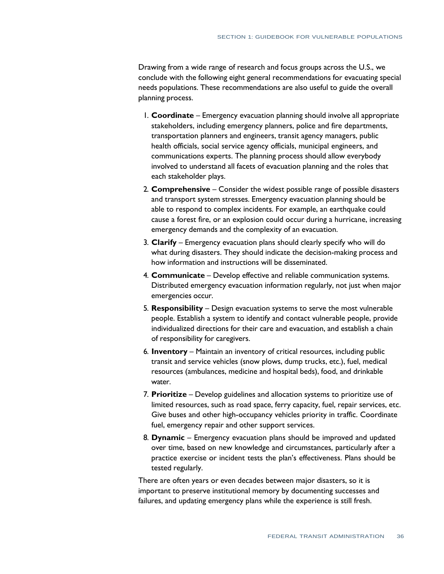Drawing from a wide range of research and focus groups across the U.S., we conclude with the following eight general recommendations for evacuating special needs populations. These recommendations are also useful to guide the overall planning process.

- 1. **Coordinate**  Emergency evacuation planning should involve all appropriate stakeholders, including emergency planners, police and fire departments, transportation planners and engineers, transit agency managers, public health officials, social service agency officials, municipal engineers, and communications experts. The planning process should allow everybody involved to understand all facets of evacuation planning and the roles that each stakeholder plays.
- 2. **Comprehensive**  Consider the widest possible range of possible disasters and transport system stresses. Emergency evacuation planning should be able to respond to complex incidents. For example, an earthquake could cause a forest fire, or an explosion could occur during a hurricane, increasing emergency demands and the complexity of an evacuation.
- 3. **Clarify**  Emergency evacuation plans should clearly specify who will do what during disasters. They should indicate the decision-making process and how information and instructions will be disseminated.
- 4. **Communicate**  Develop effective and reliable communication systems. Distributed emergency evacuation information regularly, not just when major emergencies occur.
- 5. **Responsibility**  Design evacuation systems to serve the most vulnerable people. Establish a system to identify and contact vulnerable people, provide individualized directions for their care and evacuation, and establish a chain of responsibility for caregivers.
- 6. **Inventory**  Maintain an inventory of critical resources, including public transit and service vehicles (snow plows, dump trucks, etc.), fuel, medical resources (ambulances, medicine and hospital beds), food, and drinkable water.
- 7. **Prioritize**  Develop guidelines and allocation systems to prioritize use of limited resources, such as road space, ferry capacity, fuel, repair services, etc. Give buses and other high-occupancy vehicles priority in traffic. Coordinate fuel, emergency repair and other support services.
- 8. **Dynamic**  Emergency evacuation plans should be improved and updated over time, based on new knowledge and circumstances, particularly after a practice exercise or incident tests the plan's effectiveness. Plans should be tested regularly.

 There are often years or even decades between major disasters, so it is important to preserve institutional memory by documenting successes and failures, and updating emergency plans while the experience is still fresh.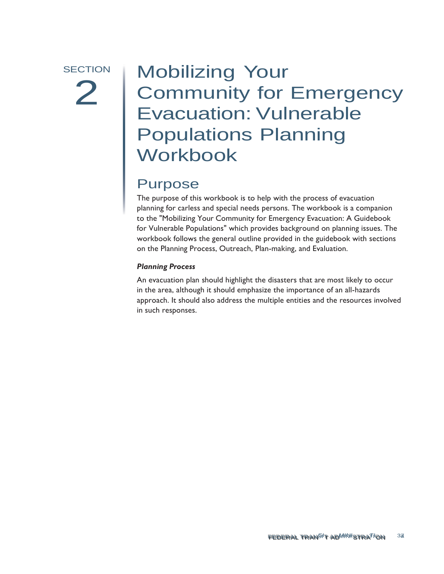# SECTION | Mobilizing Your 2 | MODIILAND YOUR<br>2 | Community for Emergency<br>Evacuation: Vulnerable Evacuation: Vulnerable Populations Planning Workbook

## Purpose

 The purpose of this workbook is to help with the process of evacuation planning for carless and special needs persons. The workbook is a companion to the "Mobilizing Your Community for Emergency Evacuation: A Guidebook for Vulnerable Populations" which provides background on planning issues. The workbook follows the general outline provided in the guidebook with sections on the Planning Process, Outreach, Plan-making, and Evaluation.

## *Planning Process*

 An evacuation plan should highlight the disasters that are most likely to occur in the area, although it should emphasize the importance of an all-hazards approach. It should also address the multiple entities and the resources involved in such responses.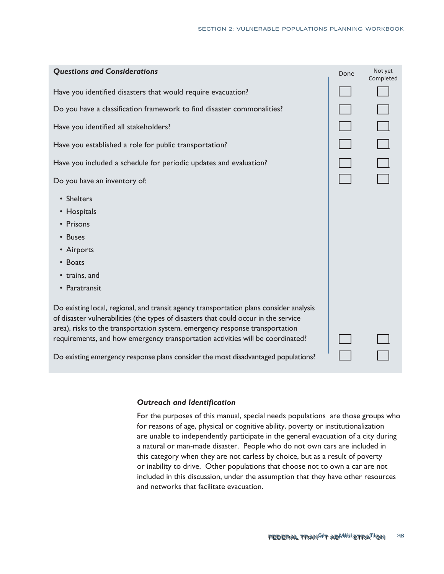| <b>Questions and Considerations</b>                                                                                                                                                                                                                                                                                                                                                                                                  | Done | Not yet<br>Completed |
|--------------------------------------------------------------------------------------------------------------------------------------------------------------------------------------------------------------------------------------------------------------------------------------------------------------------------------------------------------------------------------------------------------------------------------------|------|----------------------|
| Have you identified disasters that would require evacuation?                                                                                                                                                                                                                                                                                                                                                                         |      |                      |
| Do you have a classification framework to find disaster commonalities?                                                                                                                                                                                                                                                                                                                                                               |      |                      |
| Have you identified all stakeholders?                                                                                                                                                                                                                                                                                                                                                                                                |      |                      |
| Have you established a role for public transportation?                                                                                                                                                                                                                                                                                                                                                                               |      | $\Box$               |
| Have you included a schedule for periodic updates and evaluation?                                                                                                                                                                                                                                                                                                                                                                    |      |                      |
| Do you have an inventory of:                                                                                                                                                                                                                                                                                                                                                                                                         |      |                      |
| • Shelters<br>• Hospitals<br>• Prisons<br>• Buses<br>• Airports<br>• Boats<br>• trains, and<br>• Paratransit                                                                                                                                                                                                                                                                                                                         |      |                      |
| Do existing local, regional, and transit agency transportation plans consider analysis<br>of disaster vulnerabilities (the types of disasters that could occur in the service<br>area), risks to the transportation system, emergency response transportation<br>requirements, and how emergency transportation activities will be coordinated?<br>Do existing emergency response plans consider the most disadvantaged populations? |      |                      |

## *Outreach and Identification*

 For the purposes of this manual, special needs populations are those groups who for reasons of age, physical or cognitive ability, poverty or institutionalization are unable to independently participate in the general evacuation of a city during a natural or man-made disaster. People who do not own cars are included in this category when they are not carless by choice, but as a result of poverty or inability to drive. Other populations that choose not to own a car are not included in this discussion, under the assumption that they have other resources and networks that facilitate evacuation.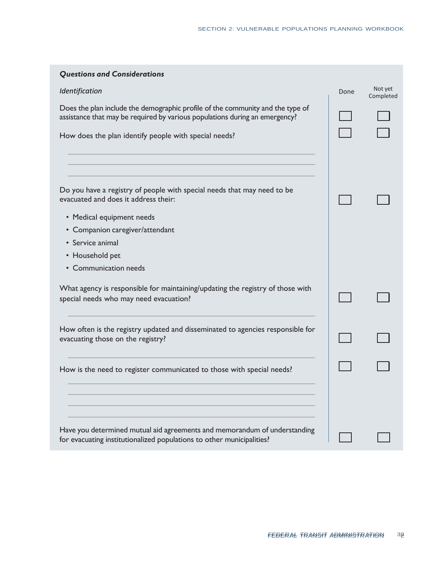| <b>Questions and Considerations</b>                                                                                                                           |      |                      |
|---------------------------------------------------------------------------------------------------------------------------------------------------------------|------|----------------------|
| Identification                                                                                                                                                | Done | Not yet<br>Completed |
| Does the plan include the demographic profile of the community and the type of<br>assistance that may be required by various populations during an emergency? |      |                      |
| How does the plan identify people with special needs?                                                                                                         |      |                      |
|                                                                                                                                                               |      |                      |
| Do you have a registry of people with special needs that may need to be<br>evacuated and does it address their:                                               |      |                      |
| • Medical equipment needs                                                                                                                                     |      |                      |
| • Companion caregiver/attendant                                                                                                                               |      |                      |
| • Service animal                                                                                                                                              |      |                      |
| • Household pet                                                                                                                                               |      |                      |
| • Communication needs                                                                                                                                         |      |                      |
| What agency is responsible for maintaining/updating the registry of those with<br>special needs who may need evacuation?                                      |      |                      |
| How often is the registry updated and disseminated to agencies responsible for<br>evacuating those on the registry?                                           |      |                      |
| How is the need to register communicated to those with special needs?                                                                                         |      |                      |
|                                                                                                                                                               |      |                      |
| Have you determined mutual aid agreements and memorandum of understanding<br>for evacuating institutionalized populations to other municipalities?            |      |                      |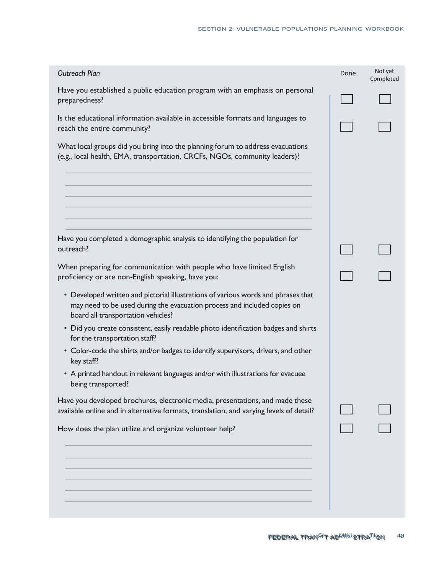| <b>Outreach Plan</b>                                                                                                                                                                                | Done | Not yet<br>Completed |
|-----------------------------------------------------------------------------------------------------------------------------------------------------------------------------------------------------|------|----------------------|
| Have you established a public education program with an emphasis on personal<br>preparedness?                                                                                                       |      |                      |
| Is the educational information available in accessible formats and languages to<br>reach the entire community?                                                                                      |      |                      |
| What local groups did you bring into the planning forum to address evacuations<br>(e.g., local health, EMA, transportation, CRCFs, NGOs, community leaders)?                                        |      |                      |
|                                                                                                                                                                                                     |      |                      |
| Have you completed a demographic analysis to identifying the population for<br>outreach?                                                                                                            |      |                      |
| When preparing for communication with people who have limited English<br>proficiency or are non-English speaking, have you:                                                                         |      |                      |
| • Developed written and pictorial illustrations of various words and phrases that<br>may need to be used during the evacuation process and included copies on<br>board all transportation vehicles? |      |                      |
| • Did you create consistent, easily readable photo identification badges and shirts<br>for the transportation staff?                                                                                |      |                      |
| • Color-code the shirts and/or badges to identify supervisors, drivers, and other<br>key staff?                                                                                                     |      |                      |
| • A printed handout in relevant languages and/or with illustrations for evacuee<br>being transported?                                                                                               |      |                      |
| Have you developed brochures, electronic media, presentations, and made these<br>available online and in alternative formats, translation, and varying levels of detail?                            |      |                      |
| How does the plan utilize and organize volunteer help?                                                                                                                                              |      |                      |
|                                                                                                                                                                                                     |      |                      |
|                                                                                                                                                                                                     |      |                      |
|                                                                                                                                                                                                     |      |                      |
|                                                                                                                                                                                                     |      |                      |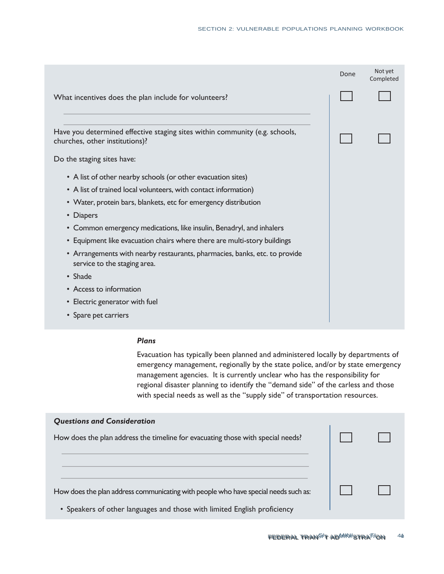|                                                                                                               | Done | Not yet<br>Completed |
|---------------------------------------------------------------------------------------------------------------|------|----------------------|
| What incentives does the plan include for volunteers?                                                         |      |                      |
| Have you determined effective staging sites within community (e.g. schools,<br>churches, other institutions)? |      |                      |
| Do the staging sites have:                                                                                    |      |                      |
| • A list of other nearby schools (or other evacuation sites)                                                  |      |                      |
| • A list of trained local volunteers, with contact information)                                               |      |                      |
| • Water, protein bars, blankets, etc for emergency distribution                                               |      |                      |
| • Diapers                                                                                                     |      |                      |
| • Common emergency medications, like insulin, Benadryl, and inhalers                                          |      |                      |
| • Equipment like evacuation chairs where there are multi-story buildings                                      |      |                      |
| • Arrangements with nearby restaurants, pharmacies, banks, etc. to provide<br>service to the staging area.    |      |                      |
| $\cdot$ Shade                                                                                                 |      |                      |
| • Access to information                                                                                       |      |                      |
| • Electric generator with fuel                                                                                |      |                      |
| • Spare pet carriers                                                                                          |      |                      |

## *Plans*

 Evacuation has typically been planned and administered locally by departments of emergency management, regionally by the state police, and/or by state emergency management agencies. It is currently unclear who has the responsibility for regional disaster planning to identify the "demand side" of the carless and those with special needs as well as the "supply side" of transportation resources.

| <b>Questions and Consideration</b>                                                  |  |
|-------------------------------------------------------------------------------------|--|
| How does the plan address the timeline for evacuating those with special needs?     |  |
|                                                                                     |  |
|                                                                                     |  |
|                                                                                     |  |
| How does the plan address communicating with people who have special needs such as: |  |
| • Speakers of other languages and those with limited English proficiency            |  |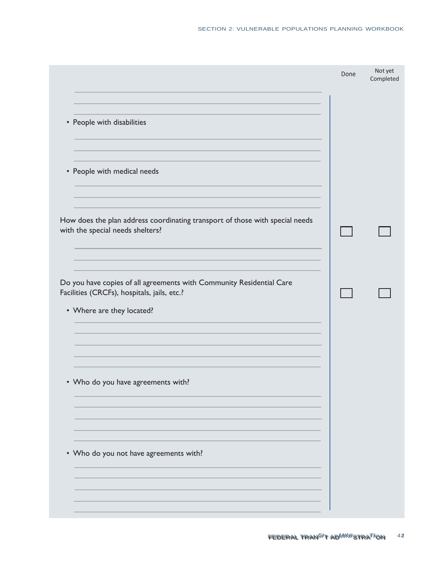|                                                                                                                                                  | Done | Not yet<br>Completed |
|--------------------------------------------------------------------------------------------------------------------------------------------------|------|----------------------|
| • People with disabilities                                                                                                                       |      |                      |
| • People with medical needs                                                                                                                      |      |                      |
| How does the plan address coordinating transport of those with special needs<br>with the special needs shelters?                                 |      |                      |
| Do you have copies of all agreements with Community Residential Care<br>Facilities (CRCFs), hospitals, jails, etc.?<br>• Where are they located? |      |                      |
|                                                                                                                                                  |      |                      |
| • Who do you have agreements with?                                                                                                               |      |                      |
| • Who do you not have agreements with?                                                                                                           |      |                      |
|                                                                                                                                                  |      |                      |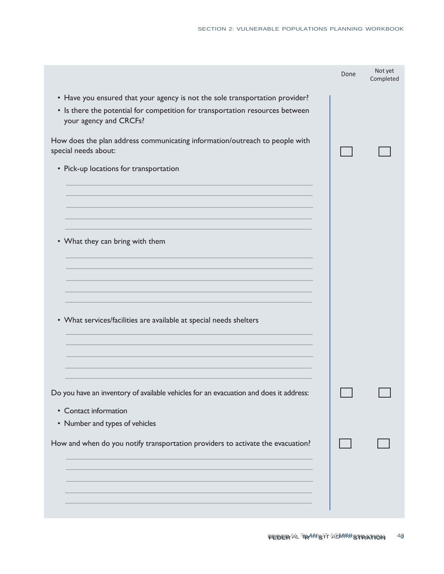|                                                                                                                                                                                         | Done | Not yet<br>Completed |
|-----------------------------------------------------------------------------------------------------------------------------------------------------------------------------------------|------|----------------------|
| • Have you ensured that your agency is not the sole transportation provider?<br>• Is there the potential for competition for transportation resources between<br>your agency and CRCFs? |      |                      |
| How does the plan address communicating information/outreach to people with<br>special needs about:                                                                                     |      |                      |
| • Pick-up locations for transportation                                                                                                                                                  |      |                      |
|                                                                                                                                                                                         |      |                      |
|                                                                                                                                                                                         |      |                      |
| • What they can bring with them                                                                                                                                                         |      |                      |
|                                                                                                                                                                                         |      |                      |
|                                                                                                                                                                                         |      |                      |
| • What services/facilities are available at special needs shelters                                                                                                                      |      |                      |
|                                                                                                                                                                                         |      |                      |
|                                                                                                                                                                                         |      |                      |
| Do you have an inventory of available vehicles for an evacuation and does it address:                                                                                                   |      |                      |
| • Contact information<br>• Number and types of vehicles                                                                                                                                 |      |                      |
| How and when do you notify transportation providers to activate the evacuation?                                                                                                         |      |                      |
|                                                                                                                                                                                         |      |                      |
|                                                                                                                                                                                         |      |                      |
|                                                                                                                                                                                         |      |                      |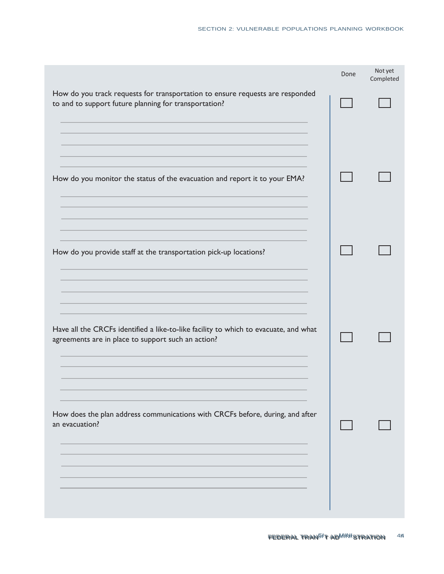|                                                                                                                                            | Done | Not yet<br>Completed |
|--------------------------------------------------------------------------------------------------------------------------------------------|------|----------------------|
| How do you track requests for transportation to ensure requests are responded<br>to and to support future planning for transportation?     |      |                      |
| How do you monitor the status of the evacuation and report it to your EMA?                                                                 |      |                      |
| How do you provide staff at the transportation pick-up locations?                                                                          |      |                      |
| Have all the CRCFs identified a like-to-like facility to which to evacuate, and what<br>agreements are in place to support such an action? |      |                      |
| How does the plan address communications with CRCFs before, during, and after<br>an evacuation?                                            |      |                      |
|                                                                                                                                            |      |                      |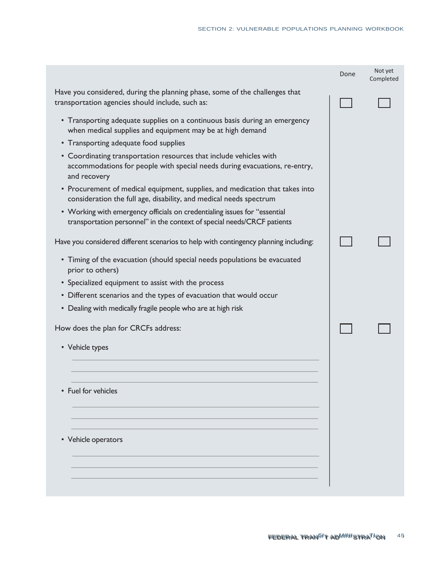|                                                                                                                                                                  | Done | Not yet<br>Completed |
|------------------------------------------------------------------------------------------------------------------------------------------------------------------|------|----------------------|
| Have you considered, during the planning phase, some of the challenges that<br>transportation agencies should include, such as:                                  |      |                      |
| • Transporting adequate supplies on a continuous basis during an emergency<br>when medical supplies and equipment may be at high demand                          |      |                      |
| • Transporting adequate food supplies                                                                                                                            |      |                      |
| • Coordinating transportation resources that include vehicles with<br>accommodations for people with special needs during evacuations, re-entry,<br>and recovery |      |                      |
| • Procurement of medical equipment, supplies, and medication that takes into<br>consideration the full age, disability, and medical needs spectrum               |      |                      |
| • Working with emergency officials on credentialing issues for "essential<br>transportation personnel" in the context of special needs/CRCF patients             |      |                      |
| Have you considered different scenarios to help with contingency planning including:                                                                             |      |                      |
| • Timing of the evacuation (should special needs populations be evacuated<br>prior to others)                                                                    |      |                      |
| • Specialized equipment to assist with the process                                                                                                               |      |                      |
| • Different scenarios and the types of evacuation that would occur                                                                                               |      |                      |
| • Dealing with medically fragile people who are at high risk                                                                                                     |      |                      |
| How does the plan for CRCFs address:                                                                                                                             |      |                      |
| • Vehicle types                                                                                                                                                  |      |                      |
|                                                                                                                                                                  |      |                      |
| • Fuel for vehicles                                                                                                                                              |      |                      |
|                                                                                                                                                                  |      |                      |
| • Vehicle operators                                                                                                                                              |      |                      |
|                                                                                                                                                                  |      |                      |
|                                                                                                                                                                  |      |                      |
|                                                                                                                                                                  |      |                      |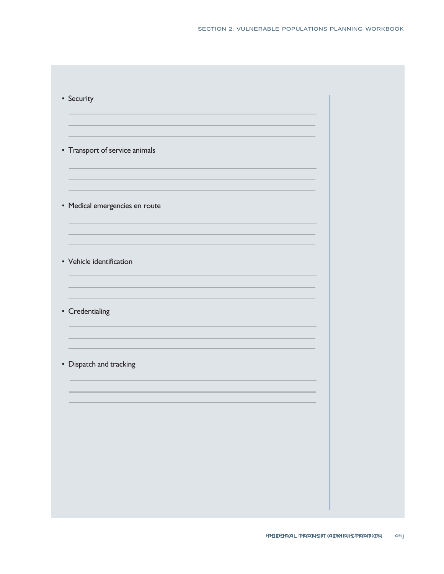| • Transport of service animals |  |  |
|--------------------------------|--|--|
|                                |  |  |
| • Medical emergencies en route |  |  |
|                                |  |  |
| • Vehicle identification       |  |  |
|                                |  |  |
| • Credentialing                |  |  |
|                                |  |  |
| • Dispatch and tracking        |  |  |
|                                |  |  |
|                                |  |  |
|                                |  |  |
|                                |  |  |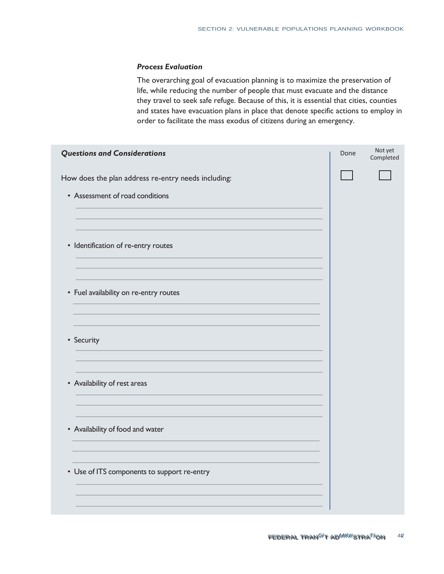#### *Process Evaluation*

 The overarching goal of evacuation planning is to maximize the preservation of life, while reducing the number of people that must evacuate and the distance they travel to seek safe refuge. Because of this, it is essential that cities, counties and states have evacuation plans in place that denote specific actions to employ in order to facilitate the mass exodus of citizens during an emergency.

| <b>Questions and Considerations</b>                 | Done | Not yet<br>Completed |
|-----------------------------------------------------|------|----------------------|
| How does the plan address re-entry needs including: |      |                      |
| • Assessment of road conditions                     |      |                      |
|                                                     |      |                      |
| • Identification of re-entry routes                 |      |                      |
|                                                     |      |                      |
| • Fuel availability on re-entry routes              |      |                      |
| • Security                                          |      |                      |
|                                                     |      |                      |
| • Availability of rest areas                        |      |                      |
|                                                     |      |                      |
| • Availability of food and water                    |      |                      |
|                                                     |      |                      |
| • Use of ITS components to support re-entry         |      |                      |
|                                                     |      |                      |
|                                                     |      |                      |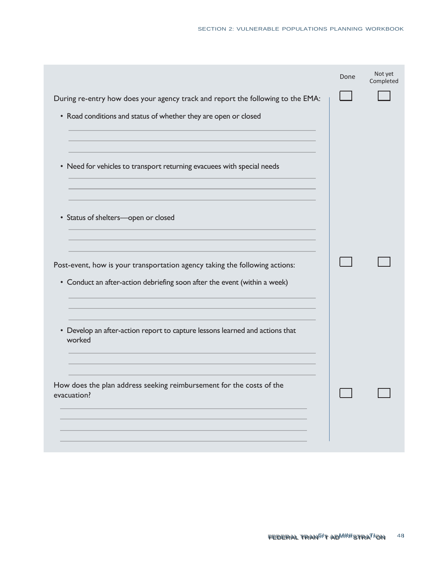|                                                                                                                                                          | Done | Not yet<br>Completed |
|----------------------------------------------------------------------------------------------------------------------------------------------------------|------|----------------------|
| During re-entry how does your agency track and report the following to the EMA:                                                                          |      |                      |
| • Road conditions and status of whether they are open or closed                                                                                          |      |                      |
|                                                                                                                                                          |      |                      |
| • Need for vehicles to transport returning evacuees with special needs                                                                                   |      |                      |
|                                                                                                                                                          |      |                      |
| • Status of shelters-open or closed                                                                                                                      |      |                      |
| Post-event, how is your transportation agency taking the following actions:<br>• Conduct an after-action debriefing soon after the event (within a week) |      |                      |
| • Develop an after-action report to capture lessons learned and actions that<br>worked                                                                   |      |                      |
| How does the plan address seeking reimbursement for the costs of the<br>evacuation?                                                                      |      |                      |
|                                                                                                                                                          |      |                      |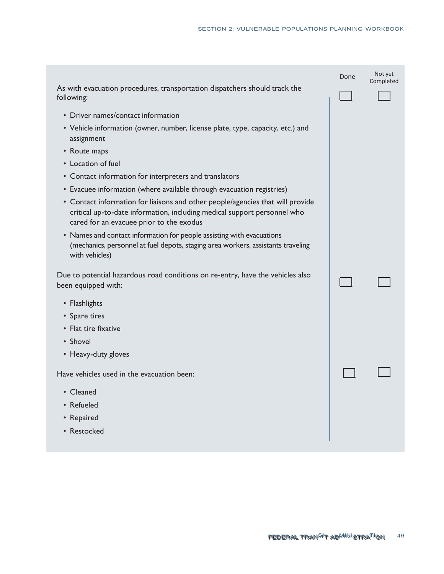|                                                                                                                                                                                                        | Done | Not yet<br>Completed |
|--------------------------------------------------------------------------------------------------------------------------------------------------------------------------------------------------------|------|----------------------|
| As with evacuation procedures, transportation dispatchers should track the<br>following:                                                                                                               |      |                      |
| • Driver names/contact information                                                                                                                                                                     |      |                      |
| • Vehicle information (owner, number, license plate, type, capacity, etc.) and<br>assignment                                                                                                           |      |                      |
| • Route maps                                                                                                                                                                                           |      |                      |
| • Location of fuel                                                                                                                                                                                     |      |                      |
| • Contact information for interpreters and translators                                                                                                                                                 |      |                      |
| • Evacuee information (where available through evacuation registries)                                                                                                                                  |      |                      |
| • Contact information for liaisons and other people/agencies that will provide<br>critical up-to-date information, including medical support personnel who<br>cared for an evacuee prior to the exodus |      |                      |
| • Names and contact information for people assisting with evacuations<br>(mechanics, personnel at fuel depots, staging area workers, assistants traveling<br>with vehicles)                            |      |                      |
| Due to potential hazardous road conditions on re-entry, have the vehicles also<br>been equipped with:                                                                                                  |      |                      |
| • Flashlights                                                                                                                                                                                          |      |                      |
| • Spare tires                                                                                                                                                                                          |      |                      |
| • Flat tire fixative                                                                                                                                                                                   |      |                      |
| • Shovel                                                                                                                                                                                               |      |                      |
| • Heavy-duty gloves                                                                                                                                                                                    |      |                      |
| Have vehicles used in the evacuation been:                                                                                                                                                             |      |                      |
| • Cleaned                                                                                                                                                                                              |      |                      |
| • Refueled                                                                                                                                                                                             |      |                      |
| • Repaired                                                                                                                                                                                             |      |                      |
| • Restocked                                                                                                                                                                                            |      |                      |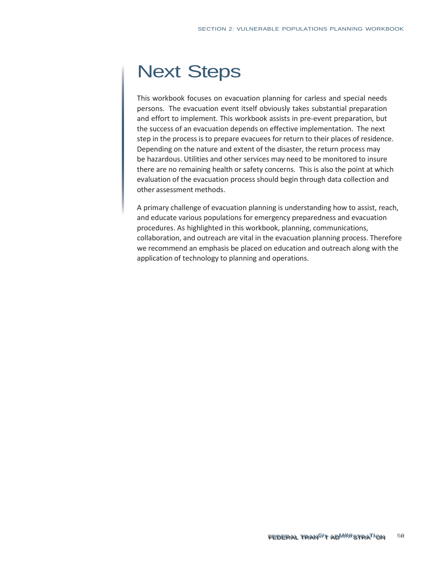# Next Steps

 This workbook focuses on evacuation planning for carless and special needs persons. The evacuation event itself obviously takes substantial preparation the success of an evacuation depends on effective implementation. The next step in the process is to prepare evacuees for return to their places of residence. Depending on the nature and extent of the disaster, the return process may be hazardous. Utilities and other services may need to be monitored to insure there are no remaining health or safety concerns. This is also the point at which evaluation of the evacuation process should begin through data collection and other assessment methods. and effort to implement. This workbook assists in pre-event preparation, but

 A primary challenge of evacuation planning is understanding how to assist, reach, and educate various populations for emergency preparedness and evacuation procedures. As highlighted in this workbook, planning, communications, collaboration, and outreach are vital in the evacuation planning process. Therefore we recommend an emphasis be placed on education and outreach along with the application of technology to planning and operations.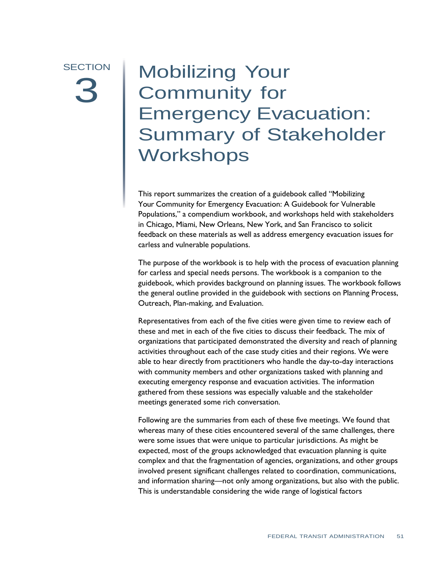# **SECTION** 3<sup>2</sup>

# Summary of Stakeholder Mobilizing Your<br>Community for Community for Emergency Evacuation: **Workshops**

 This report summarizes the creation of a guidebook called "Mobilizing Your Community for Emergency Evacuation: A Guidebook for Vulnerable Populations," a compendium workbook, and workshops held with stakeholders in Chicago, Miami, New Orleans, New York, and San Francisco to solicit feedback on these materials as well as address emergency evacuation issues for carless and vulnerable populations.

 The purpose of the workbook is to help with the process of evacuation planning for carless and special needs persons. The workbook is a companion to the guidebook, which provides background on planning issues. The workbook follows the general outline provided in the guidebook with sections on Planning Process, Outreach, Plan-making, and Evaluation.

 Representatives from each of the five cities were given time to review each of these and met in each of the five cities to discuss their feedback. The mix of organizations that participated demonstrated the diversity and reach of planning activities throughout each of the case study cities and their regions. We were able to hear directly from practitioners who handle the day-to-day interactions with community members and other organizations tasked with planning and executing emergency response and evacuation activities. The information gathered from these sessions was especially valuable and the stakeholder meetings generated some rich conversation.

 Following are the summaries from each of these five meetings. We found that whereas many of these cities encountered several of the same challenges, there were some issues that were unique to particular jurisdictions. As might be expected, most of the groups acknowledged that evacuation planning is quite complex and that the fragmentation of agencies, organizations, and other groups involved present significant challenges related to coordination, communications, and information sharing—not only among organizations, but also with the public. This is understandable considering the wide range of logistical factors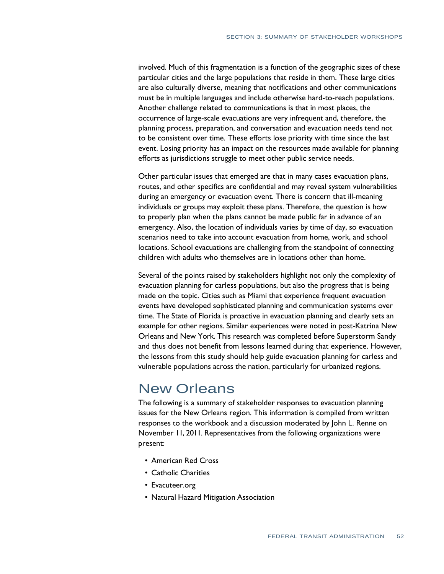involved. Much of this fragmentation is a function of the geographic sizes of these particular cities and the large populations that reside in them. These large cities are also culturally diverse, meaning that notifications and other communications must be in multiple languages and include otherwise hard-to-reach populations. Another challenge related to communications is that in most places, the occurrence of large-scale evacuations are very infrequent and, therefore, the planning process, preparation, and conversation and evacuation needs tend not to be consistent over time. These efforts lose priority with time since the last event. Losing priority has an impact on the resources made available for planning efforts as jurisdictions struggle to meet other public service needs.

 Other particular issues that emerged are that in many cases evacuation plans, routes, and other specifics are confidential and may reveal system vulnerabilities during an emergency or evacuation event. There is concern that ill-meaning individuals or groups may exploit these plans. Therefore, the question is how to properly plan when the plans cannot be made public far in advance of an emergency. Also, the location of individuals varies by time of day, so evacuation scenarios need to take into account evacuation from home, work, and school locations. School evacuations are challenging from the standpoint of connecting children with adults who themselves are in locations other than home.

 Several of the points raised by stakeholders highlight not only the complexity of evacuation planning for carless populations, but also the progress that is being made on the topic. Cities such as Miami that experience frequent evacuation events have developed sophisticated planning and communication systems over time. The State of Florida is proactive in evacuation planning and clearly sets an example for other regions. Similar experiences were noted in post-Katrina New Orleans and New York. This research was completed before Superstorm Sandy and thus does not benefit from lessons learned during that experience. However, the lessons from this study should help guide evacuation planning for carless and vulnerable populations across the nation, particularly for urbanized regions.

## New Orleans

 The following is a summary of stakeholder responses to evacuation planning issues for the New Orleans region. This information is compiled from written responses to the workbook and a discussion moderated by John L. Renne on November 11, 2011. Representatives from the following organizations were present:

- American Red Cross
- Catholic Charities
- Evacuteer.org
- Natural Hazard Mitigation Association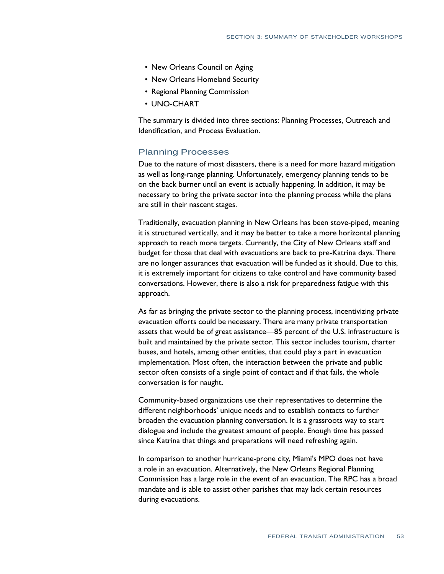- New Orleans Council on Aging
- New Orleans Homeland Security
- Regional Planning Commission
- UNO-CHART

 The summary is divided into three sections: Planning Processes, Outreach and Identification, and Process Evaluation.

## Planning Processes

 Due to the nature of most disasters, there is a need for more hazard mitigation as well as long-range planning. Unfortunately, emergency planning tends to be on the back burner until an event is actually happening. In addition, it may be necessary to bring the private sector into the planning process while the plans are still in their nascent stages.

 Traditionally, evacuation planning in New Orleans has been stove-piped, meaning it is structured vertically, and it may be better to take a more horizontal planning approach to reach more targets. Currently, the City of New Orleans staff and budget for those that deal with evacuations are back to pre-Katrina days. There are no longer assurances that evacuation will be funded as it should. Due to this, it is extremely important for citizens to take control and have community based conversations. However, there is also a risk for preparedness fatigue with this approach.

 As far as bringing the private sector to the planning process, incentivizing private evacuation efforts could be necessary. There are many private transportation assets that would be of great assistance—85 percent of the U.S. infrastructure is built and maintained by the private sector. This sector includes tourism, charter buses, and hotels, among other entities, that could play a part in evacuation implementation. Most often, the interaction between the private and public sector often consists of a single point of contact and if that fails, the whole conversation is for naught.

 Community-based organizations use their representatives to determine the different neighborhoods' unique needs and to establish contacts to further broaden the evacuation planning conversation. It is a grassroots way to start dialogue and include the greatest amount of people. Enough time has passed since Katrina that things and preparations will need refreshing again.

 In comparison to another hurricane-prone city, Miami's MPO does not have a role in an evacuation. Alternatively, the New Orleans Regional Planning Commission has a large role in the event of an evacuation. The RPC has a broad mandate and is able to assist other parishes that may lack certain resources during evacuations.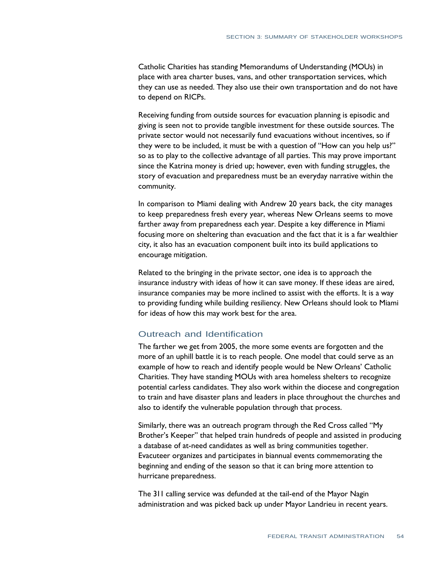Catholic Charities has standing Memorandums of Understanding (MOUs) in place with area charter buses, vans, and other transportation services, which they can use as needed. They also use their own transportation and do not have to depend on RICPs.

 Receiving funding from outside sources for evacuation planning is episodic and giving is seen not to provide tangible investment for these outside sources. The private sector would not necessarily fund evacuations without incentives, so if they were to be included, it must be with a question of "How can you help us?" so as to play to the collective advantage of all parties. This may prove important since the Katrina money is dried up; however, even with funding struggles, the story of evacuation and preparedness must be an everyday narrative within the community.

 In comparison to Miami dealing with Andrew 20 years back, the city manages to keep preparedness fresh every year, whereas New Orleans seems to move farther away from preparedness each year. Despite a key difference in Miami focusing more on sheltering than evacuation and the fact that it is a far wealthier city, it also has an evacuation component built into its build applications to encourage mitigation.

 Related to the bringing in the private sector, one idea is to approach the insurance industry with ideas of how it can save money. If these ideas are aired, insurance companies may be more inclined to assist with the efforts. It is a way to providing funding while building resiliency. New Orleans should look to Miami for ideas of how this may work best for the area.

## Outreach and Identification

 The farther we get from 2005, the more some events are forgotten and the more of an uphill battle it is to reach people. One model that could serve as an example of how to reach and identify people would be New Orleans' Catholic Charities. They have standing MOUs with area homeless shelters to recognize potential carless candidates. They also work within the diocese and congregation to train and have disaster plans and leaders in place throughout the churches and also to identify the vulnerable population through that process.

 Similarly, there was an outreach program through the Red Cross called "My Brother's Keeper" that helped train hundreds of people and assisted in producing a database of at-need candidates as well as bring communities together. Evacuteer organizes and participates in biannual events commemorating the beginning and ending of the season so that it can bring more attention to hurricane preparedness.

 The 311 calling service was defunded at the tail-end of the Mayor Nagin administration and was picked back up under Mayor Landrieu in recent years.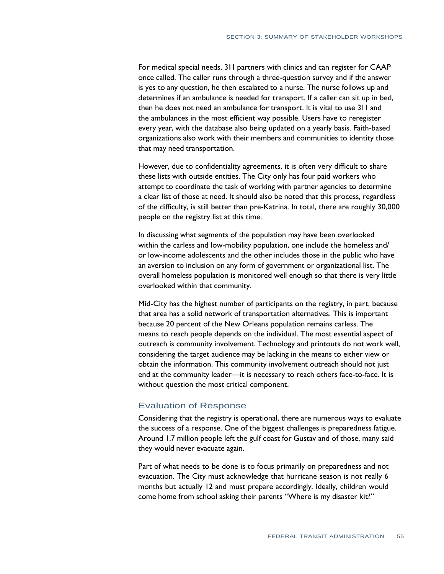For medical special needs, 311 partners with clinics and can register for CAAP once called. The caller runs through a three-question survey and if the answer is yes to any question, he then escalated to a nurse. The nurse follows up and determines if an ambulance is needed for transport. If a caller can sit up in bed, then he does not need an ambulance for transport. It is vital to use 311 and the ambulances in the most efficient way possible. Users have to reregister every year, with the database also being updated on a yearly basis. Faith-based organizations also work with their members and communities to identity those that may need transportation.

 However, due to confidentiality agreements, it is often very difficult to share these lists with outside entities. The City only has four paid workers who attempt to coordinate the task of working with partner agencies to determine a clear list of those at need. It should also be noted that this process, regardless of the difficulty, is still better than pre-Katrina. In total, there are roughly 30,000 people on the registry list at this time.

 In discussing what segments of the population may have been overlooked within the carless and low-mobility population, one include the homeless and/ or low-income adolescents and the other includes those in the public who have an aversion to inclusion on any form of government or organizational list. The overall homeless population is monitored well enough so that there is very little overlooked within that community.

 Mid-City has the highest number of participants on the registry, in part, because that area has a solid network of transportation alternatives. This is important because 20 percent of the New Orleans population remains carless. The means to reach people depends on the individual. The most essential aspect of outreach is community involvement. Technology and printouts do not work well, considering the target audience may be lacking in the means to either view or obtain the information. This community involvement outreach should not just end at the community leader—it is necessary to reach others face-to-face. It is without question the most critical component.

## Evaluation of Response

 Considering that the registry is operational, there are numerous ways to evaluate the success of a response. One of the biggest challenges is preparedness fatigue. Around 1.7 million people left the gulf coast for Gustav and of those, many said they would never evacuate again.

 Part of what needs to be done is to focus primarily on preparedness and not evacuation. The City must acknowledge that hurricane season is not really 6 months but actually 12 and must prepare accordingly. Ideally, children would come home from school asking their parents "Where is my disaster kit?"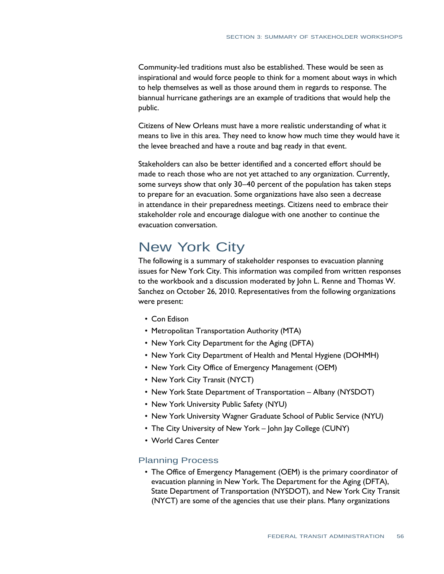Community-led traditions must also be established. These would be seen as inspirational and would force people to think for a moment about ways in which to help themselves as well as those around them in regards to response. The biannual hurricane gatherings are an example of traditions that would help the public.

 Citizens of New Orleans must have a more realistic understanding of what it means to live in this area. They need to know how much time they would have it the levee breached and have a route and bag ready in that event.

 Stakeholders can also be better identified and a concerted effort should be made to reach those who are not yet attached to any organization. Currently, some surveys show that only 30–40 percent of the population has taken steps to prepare for an evacuation. Some organizations have also seen a decrease in attendance in their preparedness meetings. Citizens need to embrace their stakeholder role and encourage dialogue with one another to continue the evacuation conversation.

# New York City

 issues for New York City. This information was compiled from written responses to the workbook and a discussion moderated by John L. Renne and Thomas W. Sanchez on October 26, 2010. Representatives from the following organizations The following is a summary of stakeholder responses to evacuation planning were present:

- Con Edison
- Metropolitan Transportation Authority (MTA)
- New York City Department for the Aging (DFTA)
- New York City Department of Health and Mental Hygiene (DOHMH)
- New York City Office of Emergency Management (OEM)
- New York City Transit (NYCT)
- New York State Department of Transportation Albany (NYSDOT)
- New York University Public Safety (NYU)
- New York University Wagner Graduate School of Public Service (NYU)
- The City University of New York John Jay College (CUNY)
- World Cares Center

#### Planning Process

• The Office of Emergency Management (OEM) is the primary coordinator of evacuation planning in New York. The Department for the Aging (DFTA), State Department of Transportation (NYSDOT), and New York City Transit (NYCT) are some of the agencies that use their plans. Many organizations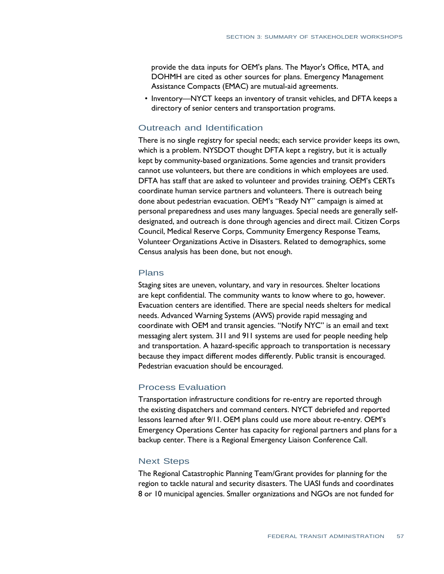provide the data inputs for OEM's plans. The Mayor's Office, MTA, and DOHMH are cited as other sources for plans. Emergency Management Assistance Compacts (EMAC) are mutual-aid agreements.

• Inventory—NYCT keeps an inventory of transit vehicles, and DFTA keeps a directory of senior centers and transportation programs.

## Outreach and Identification

 There is no single registry for special needs; each service provider keeps its own, which is a problem. NYSDOT thought DFTA kept a registry, but it is actually kept by community-based organizations. Some agencies and transit providers cannot use volunteers, but there are conditions in which employees are used. DFTA has staff that are asked to volunteer and provides training. OEM's CERTs coordinate human service partners and volunteers. There is outreach being done about pedestrian evacuation. OEM's "Ready NY" campaign is aimed at personal preparedness and uses many languages. Special needs are generally self- designated, and outreach is done through agencies and direct mail. Citizen Corps Council, Medical Reserve Corps, Community Emergency Response Teams, Volunteer Organizations Active in Disasters. Related to demographics, some Census analysis has been done, but not enough.

#### Plans

 Staging sites are uneven, voluntary, and vary in resources. Shelter locations are kept confidential. The community wants to know where to go, however. Evacuation centers are identified. There are special needs shelters for medical needs. Advanced Warning Systems (AWS) provide rapid messaging and coordinate with OEM and transit agencies. "Notify NYC" is an email and text messaging alert system. 311 and 911 systems are used for people needing help and transportation. A hazard-specific approach to transportation is necessary because they impact different modes differently. Public transit is encouraged. Pedestrian evacuation should be encouraged.

### Process Evaluation

 Transportation infrastructure conditions for re-entry are reported through the existing dispatchers and command centers. NYCT debriefed and reported lessons learned after 9/11. OEM plans could use more about re-entry. OEM's Emergency Operations Center has capacity for regional partners and plans for a backup center. There is a Regional Emergency Liaison Conference Call.

#### Next Steps

 The Regional Catastrophic Planning Team/Grant provides for planning for the region to tackle natural and security disasters. The UASI funds and coordinates 8 or 10 municipal agencies. Smaller organizations and NGOs are not funded for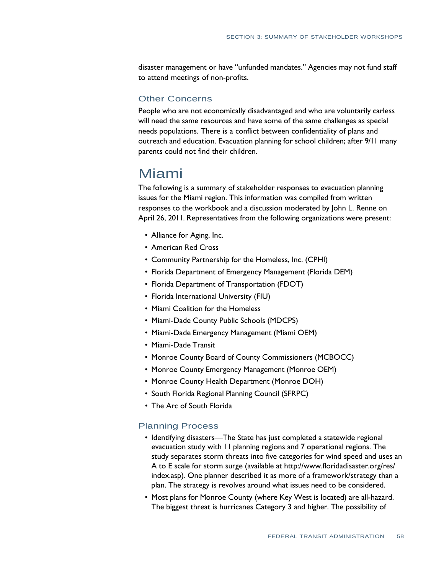disaster management or have "unfunded mandates." Agencies may not fund staff to attend meetings of non-profits.

## Other Concerns

 People who are not economically disadvantaged and who are voluntarily carless will need the same resources and have some of the same challenges as special needs populations. There is a conflict between confidentiality of plans and outreach and education. Evacuation planning for school children; after 9/11 many parents could not find their children.

## Miami

 The following is a summary of stakeholder responses to evacuation planning issues for the Miami region. This information was compiled from written responses to the workbook and a discussion moderated by John L. Renne on April 26, 2011. Representatives from the following organizations were present:

- Alliance for Aging, Inc.
- • American Red Cross
- Community Partnership for the Homeless, Inc. (CPHI)
- Florida Department of Emergency Management (Florida DEM)
- • Florida Department of Transportation (FDOT)
- Florida International University (FIU)
- Miami Coalition for the Homeless
- Miami-Dade County Public Schools (MDCPS)
- • Miami-Dade Emergency Management (Miami OEM)
- • Miami-Dade Transit
- Monroe County Board of County Commissioners (MCBOCC)
- Monroe County Emergency Management (Monroe OEM)
- Monroe County Health Department (Monroe DOH)
- South Florida Regional Planning Council (SFRPC)
- The Arc of South Florida

### Planning Process

- Identifying disasters—The State has just completed a statewide regional evacuation study with 11 planning regions and 7 operational regions. The study separates storm threats into five categories for wind speed and uses an A to E scale for storm surge (available a[t http://www.floridadisaster.org/res/](http://www.floridadisaster.org/res/)  index.asp). One planner described it as more of a framework/strategy than a plan. The strategy is revolves around what issues need to be considered.
- Most plans for Monroe County (where Key West is located) are all-hazard. The biggest threat is hurricanes Category 3 and higher. The possibility of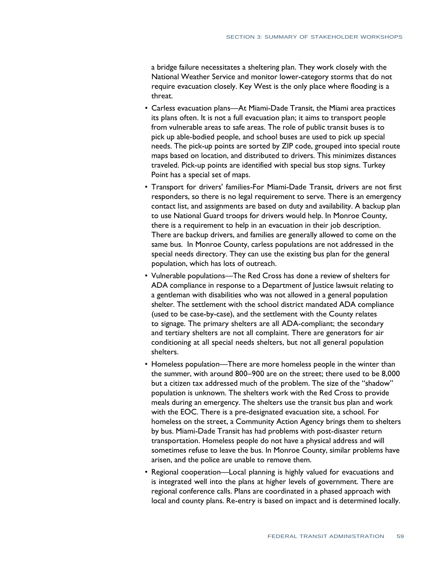a bridge failure necessitates a sheltering plan. They work closely with the National Weather Service and monitor lower-category storms that do not require evacuation closely. Key West is the only place where flooding is a threat.

- Carless evacuation plans—At Miami-Dade Transit, the Miami area practices its plans often. It is not a full evacuation plan; it aims to transport people from vulnerable areas to safe areas. The role of public transit buses is to pick up able-bodied people, and school buses are used to pick up special needs. The pick-up points are sorted by ZIP code, grouped into special route maps based on location, and distributed to drivers. This minimizes distances traveled. Pick-up points are identified with special bus stop signs. Turkey Point has a special set of maps.
- Transport for drivers' families-For Miami-Dade Transit, drivers are not first responders, so there is no legal requirement to serve. There is an emergency contact list, and assignments are based on duty and availability. A backup plan to use National Guard troops for drivers would help. In Monroe County, there is a requirement to help in an evacuation in their job description. There are backup drivers, and families are generally allowed to come on the same bus. In Monroe County, carless populations are not addressed in the special needs directory. They can use the existing bus plan for the general population, which has lots of outreach.
- Vulnerable populations—The Red Cross has done a review of shelters for ADA compliance in response to a Department of Justice lawsuit relating to a gentleman with disabilities who was not allowed in a general population shelter. The settlement with the school district mandated ADA compliance (used to be case-by-case), and the settlement with the County relates to signage. The primary shelters are all ADA-compliant; the secondary and tertiary shelters are not all complaint. There are generators for air conditioning at all special needs shelters, but not all general population shelters.
- Homeless population—There are more homeless people in the winter than the summer, with around 800–900 are on the street; there used to be 8,000 but a citizen tax addressed much of the problem. The size of the "shadow" population is unknown. The shelters work with the Red Cross to provide meals during an emergency. The shelters use the transit bus plan and work with the EOC. There is a pre-designated evacuation site, a school. For homeless on the street, a Community Action Agency brings them to shelters by bus. Miami-Dade Transit has had problems with post-disaster return transportation. Homeless people do not have a physical address and will sometimes refuse to leave the bus. In Monroe County, similar problems have arisen, and the police are unable to remove them.
- Regional cooperation—Local planning is highly valued for evacuations and is integrated well into the plans at higher levels of government. There are regional conference calls. Plans are coordinated in a phased approach with local and county plans. Re-entry is based on impact and is determined locally.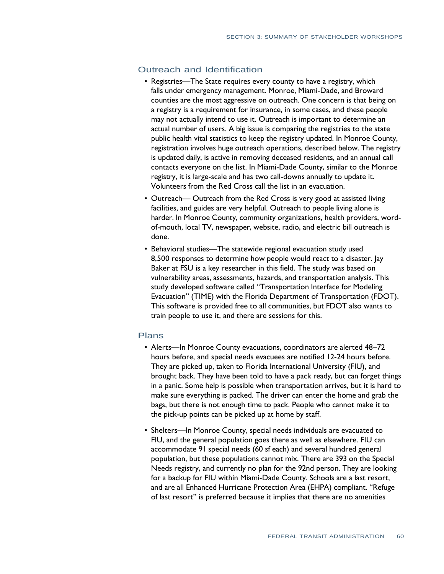## Outreach and Identification

- Registries—The State requires every county to have a registry, which falls under emergency management. Monroe, Miami-Dade, and Broward counties are the most aggressive on outreach. One concern is that being on a registry is a requirement for insurance, in some cases, and these people may not actually intend to use it. Outreach is important to determine an actual number of users. A big issue is comparing the registries to the state public health vital statistics to keep the registry updated. In Monroe County, registration involves huge outreach operations, described below. The registry is updated daily, is active in removing deceased residents, and an annual call contacts everyone on the list. In Miami-Dade County, similar to the Monroe registry, it is large-scale and has two call-downs annually to update it. Volunteers from the Red Cross call the list in an evacuation.
- Outreach— Outreach from the Red Cross is very good at assisted living facilities, and guides are very helpful. Outreach to people living alone is harder. In Monroe County, community organizations, health providers, word- of-mouth, local TV, newspaper, website, radio, and electric bill outreach is done.
- Behavioral studies—The statewide regional evacuation study used 8,500 responses to determine how people would react to a disaster. Jay Baker at FSU is a key researcher in this field. The study was based on vulnerability areas, assessments, hazards, and transportation analysis. This study developed software called "Transportation Interface for Modeling Evacuation" (TIME) with the Florida Department of Transportation (FDOT). This software is provided free to all communities, but FDOT also wants to train people to use it, and there are sessions for this.

#### Plans

- Alerts—In Monroe County evacuations, coordinators are alerted 48-72 hours before, and special needs evacuees are notified 12-24 hours before. They are picked up, taken to Florida International University (FIU), and brought back. They have been told to have a pack ready, but can forget things in a panic. Some help is possible when transportation arrives, but it is hard to make sure everything is packed. The driver can enter the home and grab the bags, but there is not enough time to pack. People who cannot make it to the pick-up points can be picked up at home by staff.
- Shelters—In Monroe County, special needs individuals are evacuated to FIU, and the general population goes there as well as elsewhere. FIU can accommodate 91 special needs (60 sf each) and several hundred general population, but these populations cannot mix. There are 393 on the Special Needs registry, and currently no plan for the 92nd person. They are looking for a backup for FIU within Miami-Dade County. Schools are a last resort, and are all Enhanced Hurricane Protection Area (EHPA) compliant. "Refuge of last resort" is preferred because it implies that there are no amenities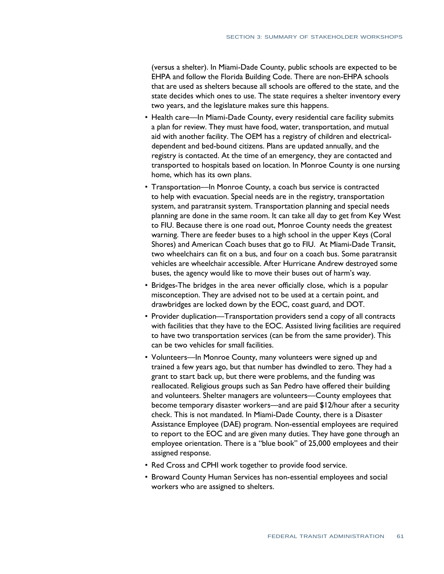(versus a shelter). In Miami-Dade County, public schools are expected to be EHPA and follow the Florida Building Code. There are non-EHPA schools that are used as shelters because all schools are offered to the state, and the state decides which ones to use. The state requires a shelter inventory every two years, and the legislature makes sure this happens.

- Health care—In Miami-Dade County, every residential care facility submits a plan for review. They must have food, water, transportation, and mutual aid with another facility. The OEM has a registry of children and electrical- dependent and bed-bound citizens. Plans are updated annually, and the registry is contacted. At the time of an emergency, they are contacted and transported to hospitals based on location. In Monroe County is one nursing home, which has its own plans.
- Transportation—In Monroe County, a coach bus service is contracted to help with evacuation. Special needs are in the registry, transportation system, and paratransit system. Transportation planning and special needs planning are done in the same room. It can take all day to get from Key West to FIU. Because there is one road out, Monroe County needs the greatest warning. There are feeder buses to a high school in the upper Keys (Coral Shores) and American Coach buses that go to FIU. At Miami-Dade Transit, two wheelchairs can fit on a bus, and four on a coach bus. Some paratransit vehicles are wheelchair accessible. After Hurricane Andrew destroyed some buses, the agency would like to move their buses out of harm's way.
- Bridges-The bridges in the area never officially close, which is a popular misconception. They are advised not to be used at a certain point, and drawbridges are locked down by the EOC, coast guard, and DOT.
- Provider duplication—Transportation providers send a copy of all contracts with facilities that they have to the EOC. Assisted living facilities are required to have two transportation services (can be from the same provider). This can be two vehicles for small facilities.
- Volunteers—In Monroe County, many volunteers were signed up and trained a few years ago, but that number has dwindled to zero. They had a grant to start back up, but there were problems, and the funding was reallocated. Religious groups such as San Pedro have offered their building and volunteers. Shelter managers are volunteers—County employees that become temporary disaster workers—and are paid \$12/hour after a security check. This is not mandated. In Miami-Dade County, there is a Disaster Assistance Employee (DAE) program. Non-essential employees are required to report to the EOC and are given many duties. They have gone through an employee orientation. There is a "blue book" of 25,000 employees and their assigned response.
- Red Cross and CPHI work together to provide food service.
- Broward County Human Services has non-essential employees and social workers who are assigned to shelters.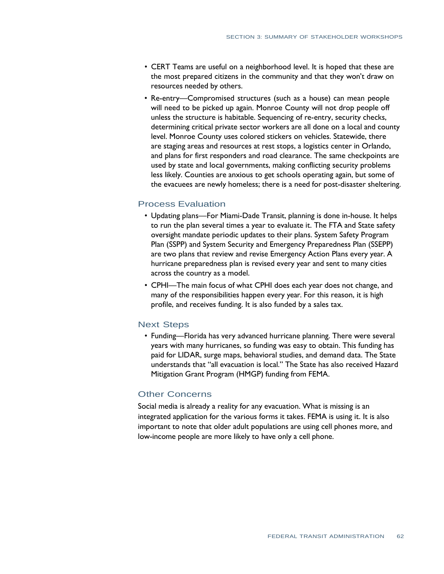- CERT Teams are useful on a neighborhood level. It is hoped that these are the most prepared citizens in the community and that they won't draw on resources needed by others.
- Re-entry—Compromised structures (such as a house) can mean people will need to be picked up again. Monroe County will not drop people off unless the structure is habitable. Sequencing of re-entry, security checks, determining critical private sector workers are all done on a local and county level. Monroe County uses colored stickers on vehicles. Statewide, there are staging areas and resources at rest stops, a logistics center in Orlando, and plans for first responders and road clearance. The same checkpoints are used by state and local governments, making conflicting security problems less likely. Counties are anxious to get schools operating again, but some of the evacuees are newly homeless; there is a need for post-disaster sheltering.

## Process Evaluation

- Updating plans—For Miami-Dade Transit, planning is done in-house. It helps to run the plan several times a year to evaluate it. The FTA and State safety oversight mandate periodic updates to their plans. System Safety Program Plan (SSPP) and System Security and Emergency Preparedness Plan (SSEPP) are two plans that review and revise Emergency Action Plans every year. A hurricane preparedness plan is revised every year and sent to many cities across the country as a model.
- CPHI—The main focus of what CPHI does each year does not change, and many of the responsibilities happen every year. For this reason, it is high profile, and receives funding. It is also funded by a sales tax.

#### Next Steps

• Funding—Florida has very advanced hurricane planning. There were several years with many hurricanes, so funding was easy to obtain. This funding has paid for LIDAR, surge maps, behavioral studies, and demand data. The State understands that "all evacuation is local." The State has also received Hazard Mitigation Grant Program (HMGP) funding from FEMA.

## Other Concerns

 Social media is already a reality for any evacuation. What is missing is an integrated application for the various forms it takes. FEMA is using it. It is also important to note that older adult populations are using cell phones more, and low-income people are more likely to have only a cell phone.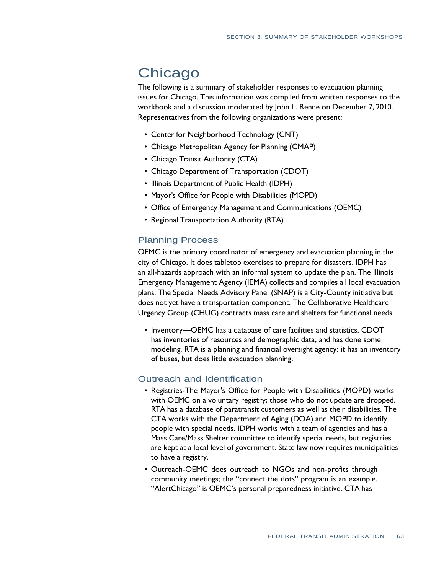# **Chicago**

 The following is a summary of stakeholder responses to evacuation planning issues for Chicago. This information was compiled from written responses to the workbook and a discussion moderated by John L. Renne on December 7, 2010. Representatives from the following organizations were present:

- Center for Neighborhood Technology (CNT)
- Chicago Metropolitan Agency for Planning (CMAP)
- Chicago Transit Authority (CTA)
- Chicago Department of Transportation (CDOT)
- • Illinois Department of Public Health (IDPH)
- Mayor's Office for People with Disabilities (MOPD)
- Office of Emergency Management and Communications (OEMC)
- Regional Transportation Authority (RTA)

## Planning Process

 OEMC is the primary coordinator of emergency and evacuation planning in the city of Chicago. It does tabletop exercises to prepare for disasters. IDPH has an all-hazards approach with an informal system to update the plan. The Illinois Emergency Management Agency (IEMA) collects and compiles all local evacuation plans. The Special Needs Advisory Panel (SNAP) is a City-County initiative but does not yet have a transportation component. The Collaborative Healthcare Urgency Group (CHUG) contracts mass care and shelters for functional needs.

• Inventory—OEMC has a database of care facilities and statistics. CDOT has inventories of resources and demographic data, and has done some modeling. RTA is a planning and financial oversight agency; it has an inventory of buses, but does little evacuation planning.

## Outreach and Identification

- Registries-The Mayor's Office for People with Disabilities (MOPD) works with OEMC on a voluntary registry; those who do not update are dropped. RTA has a database of paratransit customers as well as their disabilities. The CTA works with the Department of Aging (DOA) and MOPD to identify people with special needs. IDPH works with a team of agencies and has a Mass Care/Mass Shelter committee to identify special needs, but registries are kept at a local level of government. State law now requires municipalities to have a registry.
- Outreach-OEMC does outreach to NGOs and non-profits through community meetings; the "connect the dots" program is an example. "AlertChicago" is OEMC's personal preparedness initiative. CTA has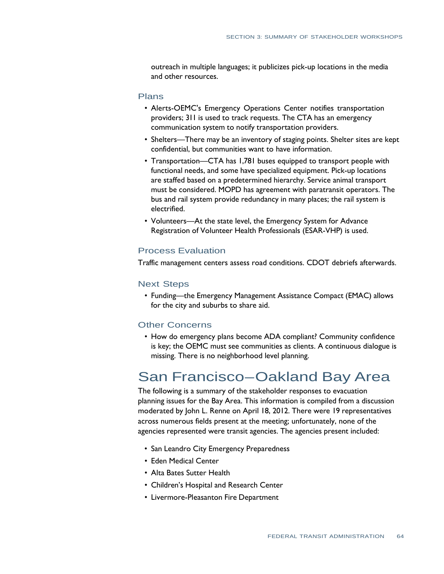outreach in multiple languages; it publicizes pick-up locations in the media and other resources.

#### Plans

- Alerts-OEMC's Emergency Operations Center notifies transportation providers; 311 is used to track requests. The CTA has an emergency communication system to notify transportation providers.
- Shelters—There may be an inventory of staging points. Shelter sites are kept confidential, but communities want to have information.
- Transportation—CTA has 1,781 buses equipped to transport people with functional needs, and some have specialized equipment. Pick-up locations are staffed based on a predetermined hierarchy. Service animal transport must be considered. MOPD has agreement with paratransit operators. The bus and rail system provide redundancy in many places; the rail system is electrified.
- Volunteers—At the state level, the Emergency System for Advance Registration of Volunteer Health Professionals (ESAR-VHP) is used.

### Process Evaluation

Traffic management centers assess road conditions. CDOT debriefs afterwards.

#### Next Steps

• Funding—the Emergency Management Assistance Compact (EMAC) allows for the city and suburbs to share aid.

### Other Concerns

• How do emergency plans become ADA compliant? Community confidence is key; the OEMC must see communities as clients. A continuous dialogue is missing. There is no neighborhood level planning.

# San Francisco–Oakland Bay Area

 planning issues for the Bay Area. This information is compiled from a discussion moderated by John L. Renne on April 18, 2012. There were 19 representatives across numerous fields present at the meeting; unfortunately, none of the agencies represented were transit agencies. The agencies present included: The following is a summary of the stakeholder responses to evacuation

- San Leandro City Emergency Preparedness
- Eden Medical Center
- Alta Bates Sutter Health
- Children's Hospital and Research Center
- Livermore-Pleasanton Fire Department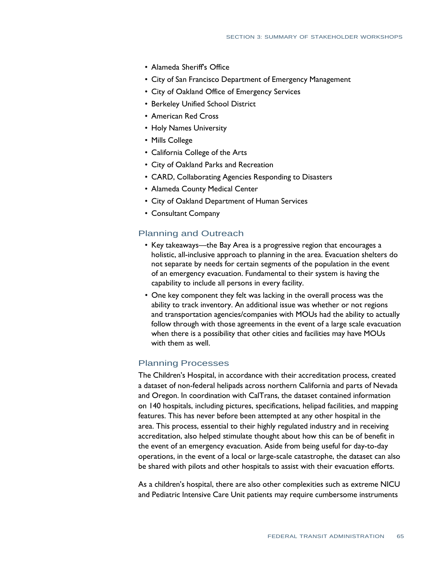- Alameda Sheriff's Office
- City of San Francisco Department of Emergency Management
- City of Oakland Office of Emergency Services
- • Berkeley Unified School District
- • American Red Cross
- Holy Names University
- Mills College
- California College of the Arts
- City of Oakland Parks and Recreation
- CARD, Collaborating Agencies Responding to Disasters
- Alameda County Medical Center
- City of Oakland Department of Human Services
- Consultant Company

# Planning and Outreach

- Key takeaways—the Bay Area is a progressive region that encourages a holistic, all-inclusive approach to planning in the area. Evacuation shelters do not separate by needs for certain segments of the population in the event of an emergency evacuation. Fundamental to their system is having the capability to include all persons in every facility.
- One key component they felt was lacking in the overall process was the ability to track inventory. An additional issue was whether or not regions and transportation agencies/companies with MOUs had the ability to actually follow through with those agreements in the event of a large scale evacuation when there is a possibility that other cities and facilities may have MOUs with them as well.

### Planning Processes

 The Children's Hospital, in accordance with their accreditation process, created a dataset of non-federal helipads across northern California and parts of Nevada and Oregon. In coordination with CalTrans, the dataset contained information on 140 hospitals, including pictures, specifications, helipad facilities, and mapping features. This has never before been attempted at any other hospital in the area. This process, essential to their highly regulated industry and in receiving accreditation, also helped stimulate thought about how this can be of benefit in the event of an emergency evacuation. Aside from being useful for day-to-day operations, in the event of a local or large-scale catastrophe, the dataset can also be shared with pilots and other hospitals to assist with their evacuation efforts.

 As a children's hospital, there are also other complexities such as extreme NICU and Pediatric Intensive Care Unit patients may require cumbersome instruments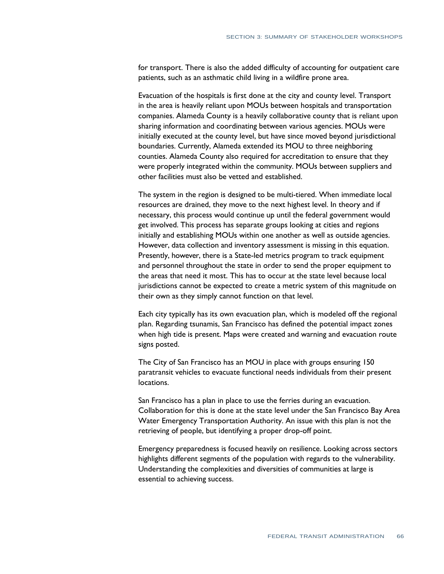for transport. There is also the added difficulty of accounting for outpatient care patients, such as an asthmatic child living in a wildfire prone area.

 Evacuation of the hospitals is first done at the city and county level. Transport in the area is heavily reliant upon MOUs between hospitals and transportation companies. Alameda County is a heavily collaborative county that is reliant upon sharing information and coordinating between various agencies. MOUs were initially executed at the county level, but have since moved beyond jurisdictional boundaries. Currently, Alameda extended its MOU to three neighboring counties. Alameda County also required for accreditation to ensure that they were properly integrated within the community. MOUs between suppliers and other facilities must also be vetted and established.

 The system in the region is designed to be multi-tiered. When immediate local resources are drained, they move to the next highest level. In theory and if necessary, this process would continue up until the federal government would get involved. This process has separate groups looking at cities and regions initially and establishing MOUs within one another as well as outside agencies. However, data collection and inventory assessment is missing in this equation. Presently, however, there is a State-led metrics program to track equipment and personnel throughout the state in order to send the proper equipment to the areas that need it most. This has to occur at the state level because local jurisdictions cannot be expected to create a metric system of this magnitude on their own as they simply cannot function on that level.

 Each city typically has its own evacuation plan, which is modeled off the regional plan. Regarding tsunamis, San Francisco has defined the potential impact zones when high tide is present. Maps were created and warning and evacuation route signs posted.

 The City of San Francisco has an MOU in place with groups ensuring 150 paratransit vehicles to evacuate functional needs individuals from their present locations.

 San Francisco has a plan in place to use the ferries during an evacuation. Collaboration for this is done at the state level under the San Francisco Bay Area Water Emergency Transportation Authority. An issue with this plan is not the retrieving of people, but identifying a proper drop-off point.

 Emergency preparedness is focused heavily on resilience. Looking across sectors highlights different segments of the population with regards to the vulnerability. Understanding the complexities and diversities of communities at large is essential to achieving success.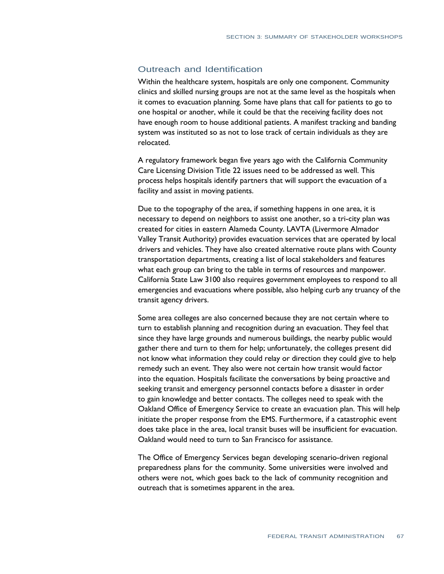# Outreach and Identification

 Within the healthcare system, hospitals are only one component. Community clinics and skilled nursing groups are not at the same level as the hospitals when it comes to evacuation planning. Some have plans that call for patients to go to one hospital or another, while it could be that the receiving facility does not have enough room to house additional patients. A manifest tracking and banding system was instituted so as not to lose track of certain individuals as they are relocated.

 A regulatory framework began five years ago with the California Community Care Licensing Division Title 22 issues need to be addressed as well. This process helps hospitals identify partners that will support the evacuation of a facility and assist in moving patients.

 Due to the topography of the area, if something happens in one area, it is necessary to depend on neighbors to assist one another, so a tri-city plan was created for cities in eastern Alameda County. LAVTA (Livermore Almador Valley Transit Authority) provides evacuation services that are operated by local drivers and vehicles. They have also created alternative route plans with County transportation departments, creating a list of local stakeholders and features what each group can bring to the table in terms of resources and manpower. California State Law 3100 also requires government employees to respond to all emergencies and evacuations where possible, also helping curb any truancy of the transit agency drivers.

 Some area colleges are also concerned because they are not certain where to turn to establish planning and recognition during an evacuation. They feel that since they have large grounds and numerous buildings, the nearby public would gather there and turn to them for help; unfortunately, the colleges present did not know what information they could relay or direction they could give to help remedy such an event. They also were not certain how transit would factor into the equation. Hospitals facilitate the conversations by being proactive and seeking transit and emergency personnel contacts before a disaster in order to gain knowledge and better contacts. The colleges need to speak with the Oakland Office of Emergency Service to create an evacuation plan. This will help initiate the proper response from the EMS. Furthermore, if a catastrophic event does take place in the area, local transit buses will be insufficient for evacuation. Oakland would need to turn to San Francisco for assistance.

 The Office of Emergency Services began developing scenario-driven regional preparedness plans for the community. Some universities were involved and others were not, which goes back to the lack of community recognition and outreach that is sometimes apparent in the area.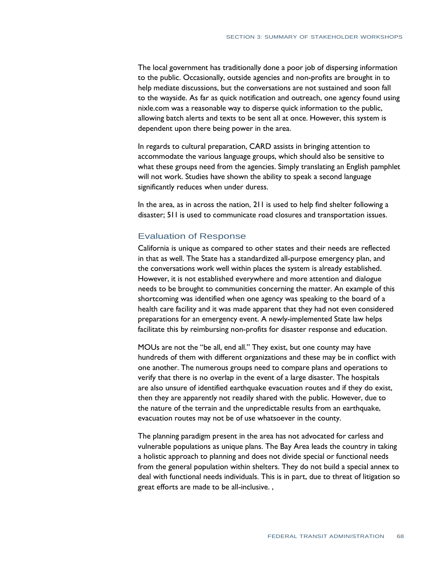The local government has traditionally done a poor job of dispersing information to the public. Occasionally, outside agencies and non-profits are brought in to help mediate discussions, but the conversations are not sustained and soon fall to the wayside. As far as quick notification and outreach, one agency found using nixle.com was a reasonable way to disperse quick information to the public, allowing batch alerts and texts to be sent all at once. However, this system is dependent upon there being power in the area.

 In regards to cultural preparation, CARD assists in bringing attention to accommodate the various language groups, which should also be sensitive to what these groups need from the agencies. Simply translating an English pamphlet will not work. Studies have shown the ability to speak a second language significantly reduces when under duress.

 In the area, as in across the nation, 211 is used to help find shelter following a disaster; 511 is used to communicate road closures and transportation issues.

# Evaluation of Response

 California is unique as compared to other states and their needs are reflected in that as well. The State has a standardized all-purpose emergency plan, and the conversations work well within places the system is already established. However, it is not established everywhere and more attention and dialogue needs to be brought to communities concerning the matter. An example of this shortcoming was identified when one agency was speaking to the board of a health care facility and it was made apparent that they had not even considered preparations for an emergency event. A newly-implemented State law helps facilitate this by reimbursing non-profits for disaster response and education.

 MOUs are not the "be all, end all." They exist, but one county may have hundreds of them with different organizations and these may be in conflict with one another. The numerous groups need to compare plans and operations to verify that there is no overlap in the event of a large disaster. The hospitals are also unsure of identified earthquake evacuation routes and if they do exist, then they are apparently not readily shared with the public. However, due to the nature of the terrain and the unpredictable results from an earthquake, evacuation routes may not be of use whatsoever in the county.

 The planning paradigm present in the area has not advocated for carless and vulnerable populations as unique plans. The Bay Area leads the country in taking a holistic approach to planning and does not divide special or functional needs from the general population within shelters. They do not build a special annex to deal with functional needs individuals. This is in part, due to threat of litigation so great efforts are made to be all-inclusive. ,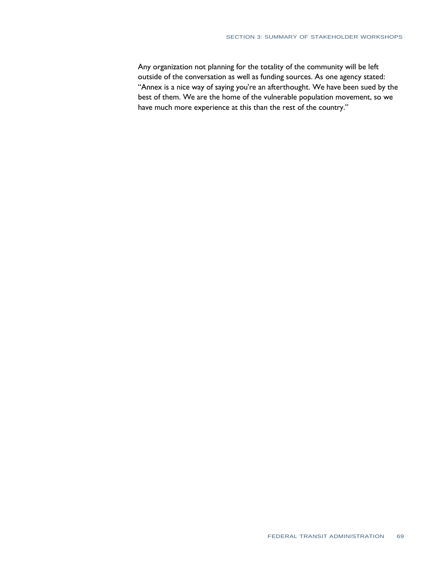Any organization not planning for the totality of the community will be left outside of the conversation as well as funding sources. As one agency stated: "Annex is a nice way of saying you're an afterthought. We have been sued by the best of them. We are the home of the vulnerable population movement, so we have much more experience at this than the rest of the country."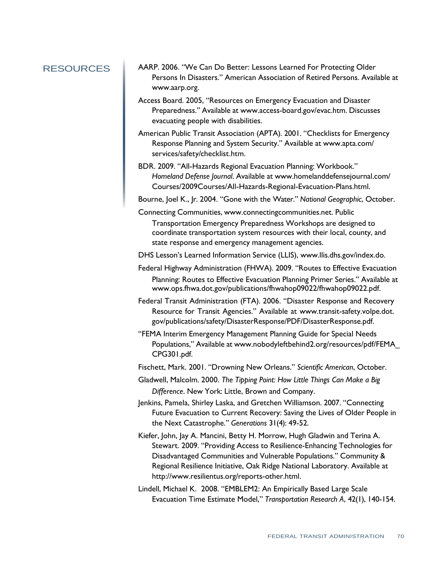- RESOURCES AARP. 2006. "We Can Do Better: Lessons Learned For Protecting Older Persons In Disasters." American Association of Retired Persons. Available at [www.aarp.org.](http://www.aarp.org/) 
	- Access Board. 2005, "Resources on Emergency Evacuation and Disaster Preparedness." Available [at www.access-board.gov/evac.htm.](http://www.access-board.gov/evac.htm) Discusses evacuating people with disabilities.
	- American Public Transit Association (APTA). 2001. "Checklists for Emergency Response Planning and System Security." Available [at www.apta.com/](http://www.apta.com/)  services/safety/checklist.htm.
	- BDR. 2009. "All-Hazards Regional Evacuation Planning: Workbook."  *Homeland Defense Journal*. Available [at www.homelanddefensejournal.com/](http://www.homelanddefensejournal.com/)  Courses/2009Courses/All-Hazards-Regional-Evacuation-Plans.html.

Bourne, Joel K., Jr. 2004. "Gone with the Water." *National Geographic*, October.

 Connecting Communities, [www.connectingcommunities.net.](http://www.connectingcommunities.net/) Public Transportation Emergency Preparedness Workshops are designed to

 coordinate transportation system resources with their local, county, and state response and emergency management agencies.

- DHS Lesson's Learned Information Service (LLIS), [www.llis.dhs.gov/index.do.](http://www.llis.dhs.gov/index.do)
- Federal Highway Administration (FHWA). 2009. "Routes to Effective Evacuation Planning: Routes to Effective Evacuation Planning Primer Series." Available at [www.ops.fhwa.dot.gov/publications/fhwahop09022/fhwahop09022.pdf.](http://www.ops.fhwa.dot.gov/publications/fhwahop09022/fhwahop09022.pdf)
- Federal Transit Administration (FTA). 2006. "Disaster Response and Recovery Resource for Transit Agencies." Available at [www.transit-safety.volpe.dot.](http://www.transit-safety.volpe.dot/)  gov/publications/safety/DisasterResponse/PDF/DisasterResponse.pdf.
- "FEMA Interim Emergency Management Planning Guide for Special Needs Populations," Available [at www.nobodyleftbehind2.org/resources/pdf/FEMA\\_](http://www.nobodyleftbehind2.org/resources/pdf/FEMA_)  CPG301.pdf.

Fischett, Mark. 2001. "Drowning New Orleans." *Scientific American*, October.

- Gladwell, Malcolm. 2000. *The Tipping Point: How Little Things Can Make a Big Difference*. New York: Little, Brown and Company.
- Jenkins, Pamela, Shirley Laska, and Gretchen Williamson. 2007. "Connecting Future Evacuation to Current Recovery: Saving the Lives of Older People in the Next Catastrophe." *Generations* 31(4): 49-52.
- Kiefer, John, Jay A. Mancini, Betty H. Morrow, Hugh Gladwin and Terina A. Stewart. 2009. "Providing Access to Resilience-Enhancing Technologies for Disadvantaged Communities and Vulnerable Populations." Community & Regional Resilience Initiative, Oak Ridge National Laboratory. Available a[t](http://www.resilientus.org/reports-other.html)  [http://www.resilientus.org/reports-other.html.](http://www.resilientus.org/reports-other.html)
- Lindell, Michael K. 2008. "EMBLEM2: An Empirically Based Large Scale Evacuation Time Estimate Model," *Transportation Research A*, 42(1), 140-154.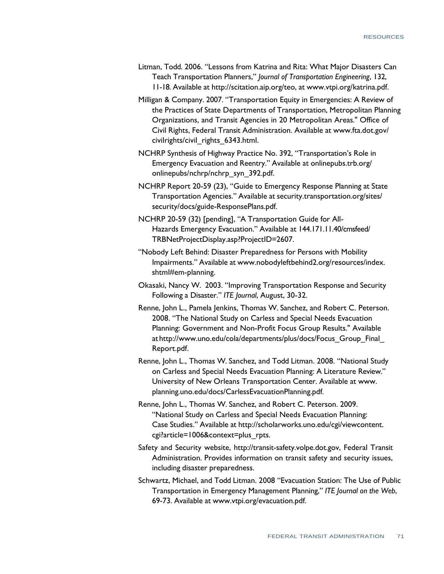- Litman, Todd. 2006. "Lessons from Katrina and Rita: What Major Disasters Can Teach Transportation Planners," *Journal of Transportation Engineering*, 132, 11-18. Available [at http://scitation.aip.org/teo,](http://scitation.aip.org/teo) at [www.vtpi.org/katrina.pdf.](http://www.vtpi.org/katrina.pdf)
- Milligan & Company. 2007. "Transportation Equity in Emergencies: A Review of the Practices of State Departments of Transportation, Metropolitan Planning Organizations, and Transit Agencies in 20 Metropolitan Areas." Office of Civil Rights, Federal Transit Administration. Available [at www.fta.dot.gov/](http://www.fta.dot.gov/)  civilrights/civil\_rights\_6343.html.
- NCHRP Synthesis of Highway Practice No. 392, "Transportation's Role in Emergency Evacuation and Reentry." Available at onlinepubs.trb.org/ onlinepubs/nchrp/nchrp\_syn\_392.pdf.
- NCHRP Report 20-59 (23), "Guide to Emergency Response Planning at State Transportation Agencies." Available at security.transportation.org/sites/ security/docs/guide-ResponsePlans.pdf.
- NCHRP 20-59 (32) [pending], "A Transportation Guide for All- Hazards Emergency Evacuation." Available at 144.171.11.40/cmsfeed/ TRBNetProjectDisplay.asp?ProjectID=2607.
- "Nobody Left Behind: Disaster Preparedness for Persons with Mobility Impairments." Available [at www.nobodyleftbehind2.org/resources/index.](http://www.nobodyleftbehind2.org/resources/index)  shtml#em-planning.
- Okasaki, Nancy W. 2003. "Improving Transportation Response and Security Following a Disaster." *ITE Journal*, August, 30-32.
- Renne, John L., Pamela Jenkins, Thomas W. Sanchez, and Robert C. Peterson. 2008. "The National Study on Carless and Special Needs Evacuation Planning: Government and Non-Profit Focus Group Results." Available a[t http://www.uno.edu/cola/departments/plus/docs/Focus\\_Group\\_Final\\_](http://www.uno.edu/cola/departments/plus/docs/Focus_Group_Final_)  Report.pdf.
- Renne, John L., Thomas W. Sanchez, and Todd Litman. 2008. "National Study on Carless and Special Needs Evacuation Planning: A Literature Review." University of New Orleans Transportation Center. Available at [www.](http://www/)  planning.uno.edu/docs/CarlessEvacuationPlanning.pdf.
- Renne, John L., Thomas W. Sanchez, and Robert C. Peterson. 2009. "National Study on Carless and Special Needs Evacuation Planning: Case Studies." Available a[t http://scholarworks.uno.edu/cgi/viewcontent.](http://scholarworks.uno.edu/cgi/viewcontent)  cgi?article=1006&context=plus\_rpts.
- Safety and Security website, [http://transit-safety.volpe.dot.gov,](http://transit-safety.volpe.dot.gov/) Federal Transit Administration. Provides information on transit safety and security issues, including disaster preparedness.
- Schwartz, Michael, and Todd Litman. 2008 "Evacuation Station: The Use of Public Transportation in Emergency Management Planning," *ITE Journal on the Web*, 69-73. Available [at www.vtpi.org/evacuation.pdf.](http://www.vtpi.org/evacuation.pdf)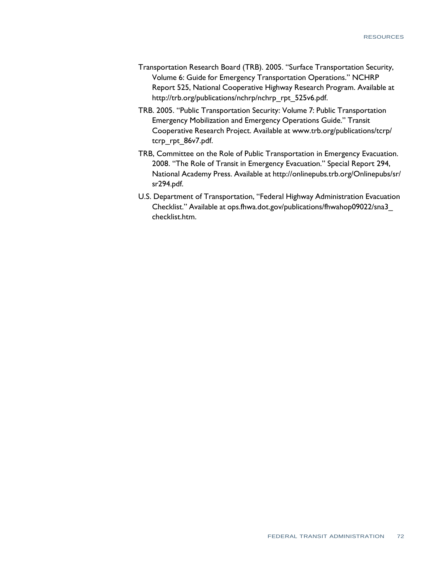- Transportation Research Board (TRB). 2005. "Surface Transportation Security, Volume 6: Guide for Emergency Transportation Operations." NCHRP Report 525, National Cooperative Highway Research Program. Available a[t](http://trb.org/publications/nchrp/nchrp_rpt_525v6.pdf)  [http://trb.org/publications/nchrp/nchrp\\_rpt\\_525v6.pdf.](http://trb.org/publications/nchrp/nchrp_rpt_525v6.pdf)
- TRB. 2005. "Public Transportation Security: Volume 7: Public Transportation Emergency Mobilization and Emergency Operations Guide." Transit Cooperative Research Project. Available [at www.trb.org/publications/tcrp/](http://www.trb.org/publications/tcrp/)  tcrp\_rpt\_86v7.pdf.
- TRB, Committee on the Role of Public Transportation in Emergency Evacuation. 2008. "The Role of Transit in Emergency Evacuation." Special Report 294, National Academy Press. Available [at http://onlinepubs.trb.org/Onlinepubs/sr/](http://onlinepubs.trb.org/Onlinepubs/sr/)  sr294.pdf.
- U.S. Department of Transportation, "Federal Highway Administration Evacuation Checklist." Available at ops.fhwa.dot.gov/publications/fhwahop09022/sna3\_ checklist.htm.